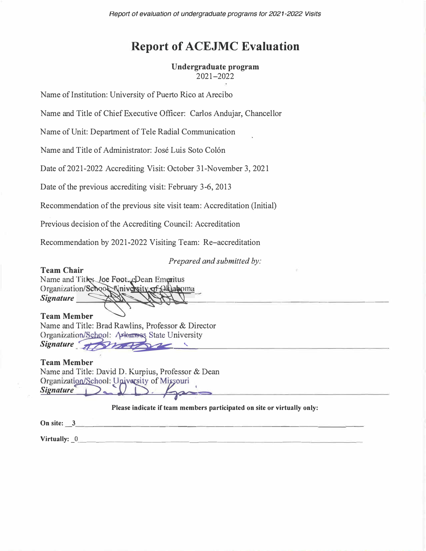*Report of evaluation of undergraduate programs tor 2021-2022 Visits* 

# **Report of ACEJMC Evaluation**

# **Undergraduate program**

2021-2022

Name of Institution: University of Puerto Rico at Arecibo

Name and Title of Chief Executive Officer: Carlos Andujar, Chancellor

Name of Unit: Department of Tele Radial Communication

Name and Title of Administrator: Jose Luis Soto Colon

Date of 2021-2022 Accrediting Visit: October 31-November 3, 2021

Date of the previous accrediting visit: February 3-6, 2013

Recommendation of the previous site visit team: Accreditation (Initial)

Previous decision of the Accrediting Council: Accreditation

Recommendation by 2021 -2022 Visiting Team: Re-accreditation

*Prepared and submitted by:* 

**Team Chair**  Name and Titles Joe Foot-cDean Emeritus<br>Organization/School Nniversity of Oklahoma<br>Signature Name and Titles, Joe Foot, eDean Emeritus<br>Organization/School Niniversity of Oklaho \_  $Signature$ �------ - --------------

**Team Member** 

Name and Title: Brad Rawlins, Professor & Director Organization/Schoo 1: Arkansas State University Signature <del>d'Ameri</del>

**Team Member**  Name and Title: David D. Kurpius, Professor & Dean Organization/School: University of Missouri<br>Signature **Contract of Action** 

**Please indicate if team members participated on site or virtually only:** 

**On site: \_3 \_\_\_\_\_\_\_\_\_\_\_\_\_\_\_\_\_\_\_\_\_\_\_\_\_\_\_\_\_\_ \_** 

**Virtually: \_O \_\_\_\_\_\_\_\_\_\_\_\_ \_\_\_\_\_\_\_\_\_\_\_\_\_ \_\_\_\_**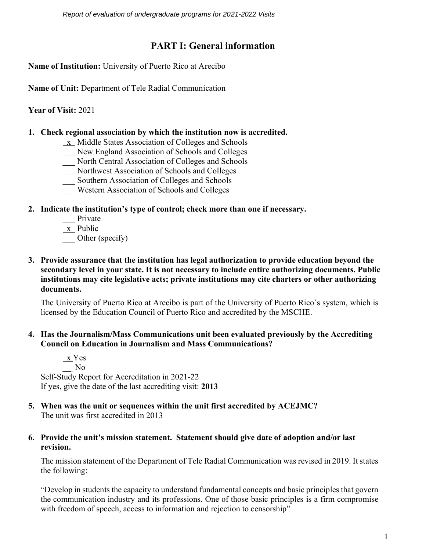*Report of evaluation of undergraduate programs for 2021-2022 Visits* 

## **PART I: General information**

**Name of Institution:** University of Puerto Rico at Arecibo

**Name of Unit:** Department of Tele Radial Communication

**Year of Visit:** 2021

### **1. Check regional association by which the institution now is accredited.**

- x Middle States Association of Colleges and Schools
- \_\_\_ New England Association of Schools and Colleges
- North Central Association of Colleges and Schools
- \_\_\_ Northwest Association of Schools and Colleges
- \_\_\_ Southern Association of Colleges and Schools
- \_\_\_ Western Association of Schools and Colleges

### **2. Indicate the institution's type of control; check more than one if necessary.**

- Private
- $x$  Public

Other (specify)

**3. Provide assurance that the institution has legal authorization to provide education beyond the secondary level in your state. It is not necessary to include entire authorizing documents. Public institutions may cite legislative acts; private institutions may cite charters or other authorizing documents.**

The University of Puerto Rico at Arecibo is part of the University of Puerto Rico´s system, which is licensed by the Education Council of Puerto Rico and accredited by the MSCHE.

### **4. Has the Journalism/Mass Communications unit been evaluated previously by the Accrediting Council on Education in Journalism and Mass Communications?**

 x Yes \_\_ No Self-Study Report for Accreditation in 2021-22 If yes, give the date of the last accrediting visit: **2013**

**5. When was the unit or sequences within the unit first accredited by ACEJMC?** The unit was first accredited in 2013

### **6. Provide the unit's mission statement. Statement should give date of adoption and/or last revision.**

The mission statement of the Department of Tele Radial Communication was revised in 2019. It states the following:

"Develop in students the capacity to understand fundamental concepts and basic principles that govern the communication industry and its professions. One of those basic principles is a firm compromise with freedom of speech, access to information and rejection to censorship"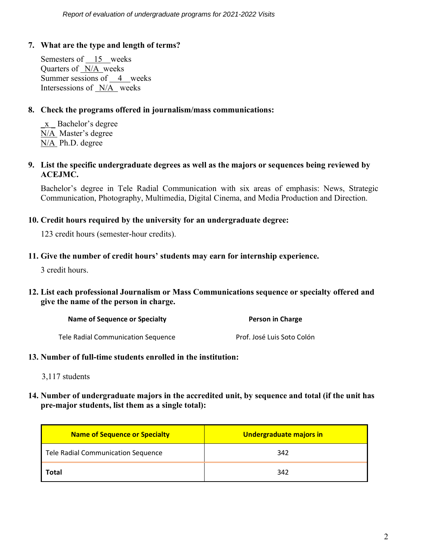### **7. What are the type and length of terms?**

Semesters of 15 weeks Quarters of  $N/A$  weeks Summer sessions of 4 weeks Intersessions of N/A weeks

### **8. Check the programs offered in journalism/mass communications:**

\_x \_ Bachelor's degree N/A Master's degree N/A Ph.D. degree

**9. List the specific undergraduate degrees as well as the majors or sequences being reviewed by ACEJMC.**

Bachelor's degree in Tele Radial Communication with six areas of emphasis: News, Strategic Communication, Photography, Multimedia, Digital Cinema, and Media Production and Direction.

### **10. Credit hours required by the university for an undergraduate degree:**

123 credit hours (semester-hour credits).

### **11. Give the number of credit hours' students may earn for internship experience.**

3 credit hours.

### **12. List each professional Journalism or Mass Communications sequence or specialty offered and give the name of the person in charge.**

| Name of Sequence or Specialty      | Person in Charge           |
|------------------------------------|----------------------------|
| Tele Radial Communication Sequence | Prof. José Luis Soto Colón |

### **13. Number of full-time students enrolled in the institution:**

3,117 students

### **14. Number of undergraduate majors in the accredited unit, by sequence and total (if the unit has pre-major students, list them as a single total):**

| <b>Name of Sequence or Specialty</b> | Undergraduate majors in |
|--------------------------------------|-------------------------|
| Tele Radial Communication Sequence   | 342                     |
| <b>Total</b>                         | 342                     |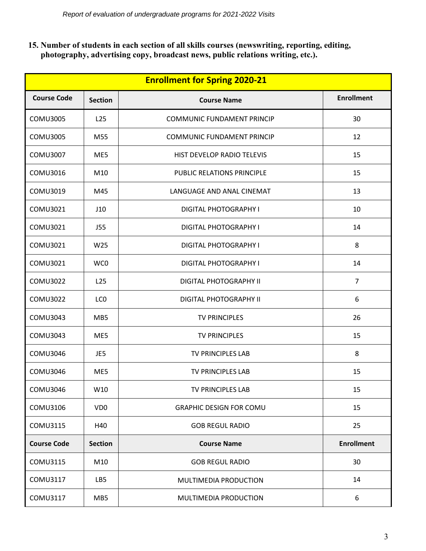**15. Number of students in each section of all skills courses (newswriting, reporting, editing, photography, advertising copy, broadcast news, public relations writing, etc.).**

| <b>Enrollment for Spring 2020-21</b> |                 |                                   |                   |
|--------------------------------------|-----------------|-----------------------------------|-------------------|
| <b>Course Code</b>                   | <b>Section</b>  | <b>Course Name</b>                | <b>Enrollment</b> |
| <b>COMU3005</b>                      | L <sub>25</sub> | <b>COMMUNIC FUNDAMENT PRINCIP</b> | 30                |
| <b>COMU3005</b>                      | M55             | <b>COMMUNIC FUNDAMENT PRINCIP</b> | 12                |
| <b>COMU3007</b>                      | ME5             | HIST DEVELOP RADIO TELEVIS        | 15                |
| <b>COMU3016</b>                      | M10             | <b>PUBLIC RELATIONS PRINCIPLE</b> | 15                |
| COMU3019                             | M45             | LANGUAGE AND ANAL CINEMAT         | 13                |
| COMU3021                             | J10             | <b>DIGITAL PHOTOGRAPHY I</b>      | 10                |
| COMU3021                             | <b>J55</b>      | <b>DIGITAL PHOTOGRAPHY I</b>      | 14                |
| COMU3021                             | W <sub>25</sub> | <b>DIGITAL PHOTOGRAPHY I</b>      | 8                 |
| COMU3021                             | WC0             | <b>DIGITAL PHOTOGRAPHY I</b>      | 14                |
| <b>COMU3022</b>                      | L <sub>25</sub> | <b>DIGITAL PHOTOGRAPHY II</b>     | $\overline{7}$    |
| <b>COMU3022</b>                      | LC <sub>0</sub> | <b>DIGITAL PHOTOGRAPHY II</b>     | 6                 |
| COMU3043                             | MB <sub>5</sub> | <b>TV PRINCIPLES</b>              | 26                |
| COMU3043                             | ME5             | <b>TV PRINCIPLES</b>              | 15                |
| <b>COMU3046</b>                      | JE5             | TV PRINCIPLES LAB                 | 8                 |
| <b>COMU3046</b>                      | ME5             | TV PRINCIPLES LAB                 | 15                |
| COMU3046                             | W10             | TV PRINCIPLES LAB                 | 15                |
| COMU3106                             | VD <sub>0</sub> | <b>GRAPHIC DESIGN FOR COMU</b>    | 15                |
| COMU3115                             | H40             | <b>GOB REGUL RADIO</b>            | 25                |
| <b>Course Code</b>                   | <b>Section</b>  | <b>Course Name</b>                | <b>Enrollment</b> |
| COMU3115                             | M10             | <b>GOB REGUL RADIO</b>            | 30                |
| COMU3117                             | LB5             | MULTIMEDIA PRODUCTION             | 14                |
| COMU3117                             | MB <sub>5</sub> | MULTIMEDIA PRODUCTION             | 6                 |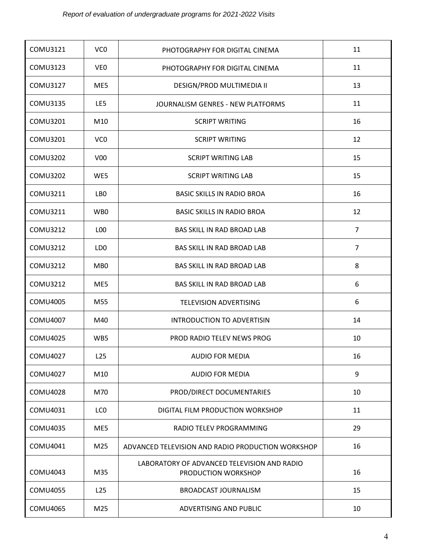| COMU3121        | VC <sub>0</sub> | PHOTOGRAPHY FOR DIGITAL CINEMA                                     | 11             |
|-----------------|-----------------|--------------------------------------------------------------------|----------------|
| COMU3123        | VE <sub>0</sub> | PHOTOGRAPHY FOR DIGITAL CINEMA                                     | 11             |
| COMU3127        | ME5             | DESIGN/PROD MULTIMEDIA II                                          | 13             |
| COMU3135        | LE5             | JOURNALISM GENRES - NEW PLATFORMS                                  | 11             |
| COMU3201        | M10             | <b>SCRIPT WRITING</b>                                              | 16             |
| COMU3201        | VC <sub>0</sub> | <b>SCRIPT WRITING</b>                                              | 12             |
| <b>COMU3202</b> | V <sub>00</sub> | <b>SCRIPT WRITING LAB</b>                                          | 15             |
| <b>COMU3202</b> | WE5             | <b>SCRIPT WRITING LAB</b>                                          | 15             |
| COMU3211        | LB0             | <b>BASIC SKILLS IN RADIO BROA</b>                                  | 16             |
| COMU3211        | WB <sub>0</sub> | <b>BASIC SKILLS IN RADIO BROA</b>                                  | 12             |
| COMU3212        | L <sub>00</sub> | BAS SKILL IN RAD BROAD LAB                                         | $\overline{7}$ |
| COMU3212        | LD <sub>0</sub> | BAS SKILL IN RAD BROAD LAB                                         | $\overline{7}$ |
| <b>COMU3212</b> | MB <sub>0</sub> | BAS SKILL IN RAD BROAD LAB                                         | 8              |
| <b>COMU3212</b> | ME5             | BAS SKILL IN RAD BROAD LAB                                         | 6              |
| <b>COMU4005</b> | M55             | <b>TELEVISION ADVERTISING</b>                                      | 6              |
| <b>COMU4007</b> | M40             | <b>INTRODUCTION TO ADVERTISIN</b>                                  | 14             |
| <b>COMU4025</b> | WB5             | PROD RADIO TELEV NEWS PROG                                         | 10             |
| <b>COMU4027</b> | L25             | <b>AUDIO FOR MEDIA</b>                                             | 16             |
| <b>COMU4027</b> | M10             | <b>AUDIO FOR MEDIA</b>                                             | 9              |
| <b>COMU4028</b> | M70             | PROD/DIRECT DOCUMENTARIES                                          | 10             |
| COMU4031        | LC <sub>0</sub> | DIGITAL FILM PRODUCTION WORKSHOP                                   | 11             |
| COMU4035        | ME5             | RADIO TELEV PROGRAMMING                                            | 29             |
| COMU4041        | M25             | ADVANCED TELEVISION AND RADIO PRODUCTION WORKSHOP                  | 16             |
| COMU4043        | M35             | LABORATORY OF ADVANCED TELEVISION AND RADIO<br>PRODUCTION WORKSHOP | 16             |
| <b>COMU4055</b> | L <sub>25</sub> | <b>BROADCAST JOURNALISM</b>                                        | 15             |
| COMU4065        | M25             | ADVERTISING AND PUBLIC                                             | 10             |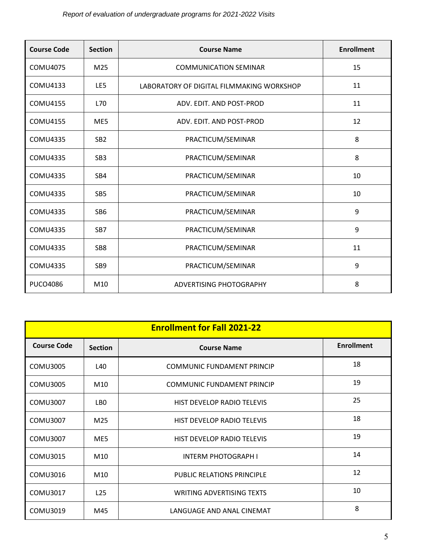## *Report of evaluation of undergraduate programs for 2021-2022 Visits*

| <b>Course Code</b> | <b>Section</b>  | <b>Course Name</b>                        | <b>Enrollment</b> |
|--------------------|-----------------|-------------------------------------------|-------------------|
| <b>COMU4075</b>    | M <sub>25</sub> | <b>COMMUNICATION SEMINAR</b>              | 15                |
| COMU4133           | LE5             | LABORATORY OF DIGITAL FILMMAKING WORKSHOP | 11                |
| <b>COMU4155</b>    | L70             | ADV. EDIT. AND POST-PROD                  | 11                |
| <b>COMU4155</b>    | ME5             | ADV. EDIT. AND POST-PROD                  | 12                |
| <b>COMU4335</b>    | SB <sub>2</sub> | PRACTICUM/SEMINAR                         | 8                 |
| <b>COMU4335</b>    | SB <sub>3</sub> | PRACTICUM/SEMINAR                         | 8                 |
| <b>COMU4335</b>    | SB <sub>4</sub> | PRACTICUM/SEMINAR                         | 10                |
| <b>COMU4335</b>    | SB <sub>5</sub> | PRACTICUM/SEMINAR                         | 10                |
| <b>COMU4335</b>    | SB <sub>6</sub> | PRACTICUM/SEMINAR                         | 9                 |
| <b>COMU4335</b>    | SB <sub>7</sub> | PRACTICUM/SEMINAR                         | 9                 |
| <b>COMU4335</b>    | SB <sub>8</sub> | PRACTICUM/SEMINAR                         | 11                |
| <b>COMU4335</b>    | SB <sub>9</sub> | PRACTICUM/SEMINAR                         | 9                 |
| <b>PUCO4086</b>    | M <sub>10</sub> | ADVERTISING PHOTOGRAPHY                   | 8                 |

|                    | <b>Enrollment for Fall 2021-22</b> |                                   |                   |  |
|--------------------|------------------------------------|-----------------------------------|-------------------|--|
| <b>Course Code</b> | <b>Section</b>                     | <b>Course Name</b>                | <b>Enrollment</b> |  |
| COMU3005           | L40                                | <b>COMMUNIC FUNDAMENT PRINCIP</b> | 18                |  |
| COMU3005           | M <sub>10</sub>                    | <b>COMMUNIC FUNDAMENT PRINCIP</b> | 19                |  |
| COMU3007           | LB0                                | <b>HIST DEVELOP RADIO TELEVIS</b> | 25                |  |
| <b>COMU3007</b>    | M <sub>25</sub>                    | HIST DEVELOP RADIO TELEVIS        | 18                |  |
| COMU3007           | ME5                                | HIST DEVELOP RADIO TELEVIS        | 19                |  |
| COMU3015           | M <sub>10</sub>                    | <b>INTERM PHOTOGRAPH I</b>        | 14                |  |
| <b>COMU3016</b>    | M <sub>10</sub>                    | PUBLIC RELATIONS PRINCIPLE        | 12                |  |
| <b>COMU3017</b>    | L25                                | <b>WRITING ADVERTISING TEXTS</b>  | 10                |  |
| <b>COMU3019</b>    | M45                                | LANGUAGE AND ANAL CINEMAT         | 8                 |  |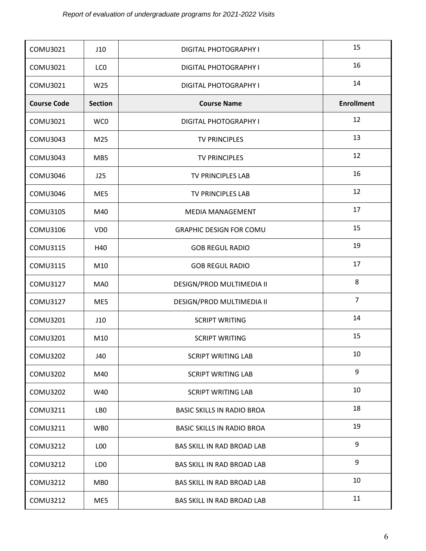| COMU3021           | J10             | <b>DIGITAL PHOTOGRAPHY I</b>      | 15                |
|--------------------|-----------------|-----------------------------------|-------------------|
| COMU3021           | LC <sub>0</sub> | DIGITAL PHOTOGRAPHY I             | 16                |
| COMU3021           | W25             | DIGITAL PHOTOGRAPHY I             | 14                |
| <b>Course Code</b> | <b>Section</b>  | <b>Course Name</b>                | <b>Enrollment</b> |
| COMU3021           | WC0             | DIGITAL PHOTOGRAPHY I             | 12                |
| COMU3043           | M25             | <b>TV PRINCIPLES</b>              | 13                |
| COMU3043           | MB5             | <b>TV PRINCIPLES</b>              | 12                |
| COMU3046           | J25             | TV PRINCIPLES LAB                 | 16                |
| COMU3046           | ME5             | TV PRINCIPLES LAB                 | 12                |
| COMU3105           | M40             | <b>MEDIA MANAGEMENT</b>           | 17                |
| <b>COMU3106</b>    | VD <sub>0</sub> | <b>GRAPHIC DESIGN FOR COMU</b>    | 15                |
| COMU3115           | H40             | <b>GOB REGUL RADIO</b>            | 19                |
| COMU3115           | M10             | <b>GOB REGUL RADIO</b>            | 17                |
| <b>COMU3127</b>    | MA0             | DESIGN/PROD MULTIMEDIA II         | 8                 |
| COMU3127           | ME5             | DESIGN/PROD MULTIMEDIA II         | $\overline{7}$    |
| COMU3201           | J10             | <b>SCRIPT WRITING</b>             | 14                |
| COMU3201           | M10             | <b>SCRIPT WRITING</b>             | 15                |
| <b>COMU3202</b>    | J40             | <b>SCRIPT WRITING LAB</b>         | 10                |
| <b>COMU3202</b>    | M40             | <b>SCRIPT WRITING LAB</b>         | 9                 |
| COMU3202           | W40             | <b>SCRIPT WRITING LAB</b>         | 10                |
| COMU3211           | LBO             | <b>BASIC SKILLS IN RADIO BROA</b> | 18                |
| COMU3211           | WB0             | <b>BASIC SKILLS IN RADIO BROA</b> | 19                |
| COMU3212           | LOO             | BAS SKILL IN RAD BROAD LAB        | 9                 |
| COMU3212           | LD0             | BAS SKILL IN RAD BROAD LAB        | 9                 |
| COMU3212           | MB0             | BAS SKILL IN RAD BROAD LAB        | 10                |
| COMU3212           | ME5             | BAS SKILL IN RAD BROAD LAB        | 11                |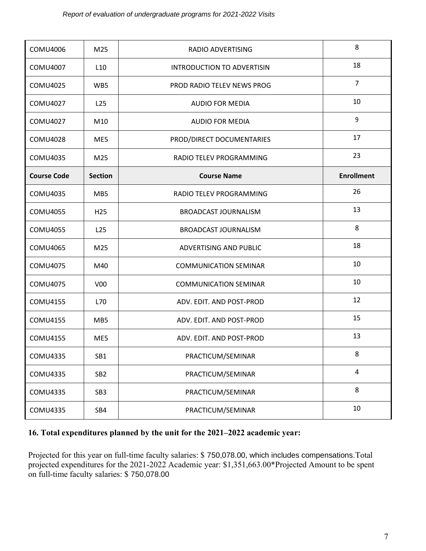| <b>COMU4006</b>    | M25             | RADIO ADVERTISING                 | 8                 |
|--------------------|-----------------|-----------------------------------|-------------------|
| <b>COMU4007</b>    | L10             | <b>INTRODUCTION TO ADVERTISIN</b> | 18                |
| COMU4025           | WB5             | PROD RADIO TELEV NEWS PROG        | $\overline{7}$    |
| COMU4027           | L <sub>25</sub> | AUDIO FOR MEDIA                   | 10                |
| COMU4027           | M10             | <b>AUDIO FOR MEDIA</b>            | 9                 |
| <b>COMU4028</b>    | ME5             | PROD/DIRECT DOCUMENTARIES         | 17                |
| <b>COMU4035</b>    | M25             | RADIO TELEV PROGRAMMING           | 23                |
| <b>Course Code</b> | <b>Section</b>  | <b>Course Name</b>                | <b>Enrollment</b> |
| <b>COMU4035</b>    | MB <sub>5</sub> | RADIO TELEV PROGRAMMING           | 26                |
| <b>COMU4055</b>    | H <sub>25</sub> | <b>BROADCAST JOURNALISM</b>       | 13                |
| COMU4055           | L <sub>25</sub> | <b>BROADCAST JOURNALISM</b>       | 8                 |
| <b>COMU4065</b>    | M25             | ADVERTISING AND PUBLIC            | 18                |
| <b>COMU4075</b>    | M40             | <b>COMMUNICATION SEMINAR</b>      | 10                |
| COMU4075           | V <sub>0</sub>  | <b>COMMUNICATION SEMINAR</b>      | 10                |
| COMU4155           | L70             | ADV. EDIT. AND POST-PROD          | 12                |
| <b>COMU4155</b>    | MB <sub>5</sub> | ADV. EDIT. AND POST-PROD          | 15                |
| COMU4155           | ME5             | ADV. EDIT. AND POST-PROD          | 13                |
| <b>COMU4335</b>    | SB1             | PRACTICUM/SEMINAR                 | 8                 |
| COMU4335           | SB <sub>2</sub> | PRACTICUM/SEMINAR                 | $\overline{4}$    |
| COMU4335           | SB <sub>3</sub> | PRACTICUM/SEMINAR                 | 8                 |
| COMU4335           | SB4             | PRACTICUM/SEMINAR                 | 10                |

### **16. Total expenditures planned by the unit for the 2021–2022 academic year:**

Projected for this year on full-time faculty salaries: \$ 750,078.00, which includes compensations.Total projected expenditures for the 2021-2022 Academic year: \$1,351,663.00\*Projected Amount to be spent on full-time faculty salaries: \$ 750,078.00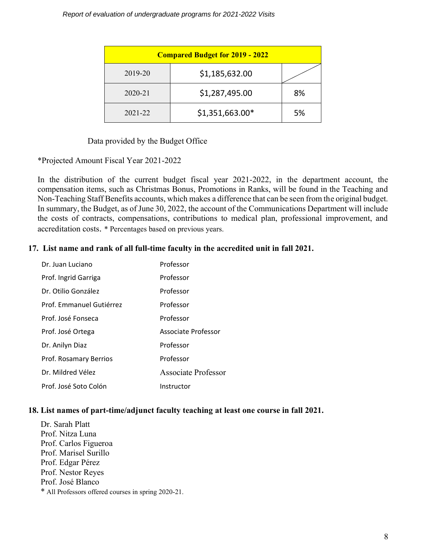| <b>Compared Budget for 2019 - 2022</b> |                 |    |  |
|----------------------------------------|-----------------|----|--|
| 2019-20                                | \$1,185,632.00  |    |  |
| $2020 - 21$                            | \$1,287,495.00  | 8% |  |
| 2021-22                                | \$1,351,663.00* | 5% |  |

Data provided by the Budget Office

\*Projected Amount Fiscal Year 2021-2022

In the distribution of the current budget fiscal year 2021-2022, in the department account, the compensation items, such as Christmas Bonus, Promotions in Ranks, will be found in the Teaching and Non-Teaching Staff Benefits accounts, which makes a difference that can be seen from the original budget. In summary, the Budget, as of June 30, 2022, the account of the Communications Department will include the costs of contracts, compensations, contributions to medical plan, professional improvement, and accreditation costs. \* Percentages based on previous years.

### **17. List name and rank of all full-time faculty in the accredited unit in fall 2021.**

| Dr. Juan Luciano         | Professor                  |
|--------------------------|----------------------------|
| Prof. Ingrid Garriga     | Professor                  |
| Dr. Otilio González      | Professor                  |
| Prof. Emmanuel Gutiérrez | Professor                  |
| Prof. José Fonseca       | Professor                  |
| Prof. José Ortega        | Associate Professor        |
| Dr. Anilyn Diaz          | Professor                  |
| Prof. Rosamary Berrios   | Professor                  |
| Dr. Mildred Vélez        | <b>Associate Professor</b> |
| Prof. José Soto Colón    | Instructor                 |

#### **18. List names of part-time/adjunct faculty teaching at least one course in fall 2021.**

Dr. Sarah Platt Prof. Nitza Luna Prof. Carlos Figueroa Prof. Marisel Surillo Prof. Edgar Pérez Prof. Nestor Reyes Prof. José Blanco \* All Professors offered courses in spring 2020-21.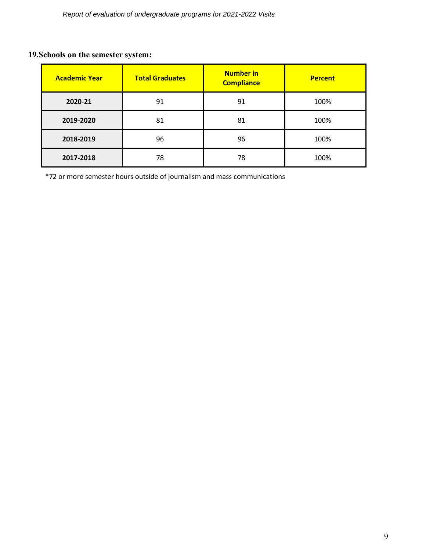## **19.Schools on the semester system:**

| <b>Academic Year</b> | <b>Number in</b><br><b>Total Graduates</b><br><b>Compliance</b> |    | <b>Percent</b> |
|----------------------|-----------------------------------------------------------------|----|----------------|
| 2020-21              | 91                                                              | 91 | 100%           |
| 2019-2020            | 81                                                              | 81 | 100%           |
| 2018-2019            | 96                                                              | 96 | 100%           |
| 2017-2018            | 78                                                              | 78 | 100%           |

\*72 or more semester hours outside of journalism and mass communications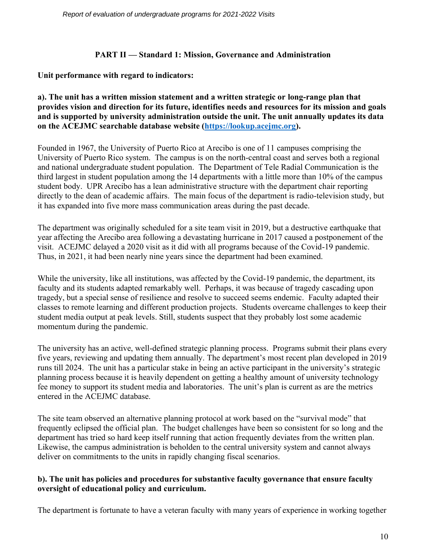### **PART II — Standard 1: Mission, Governance and Administration**

### **Unit performance with regard to indicators:**

### **a). The unit has a written mission statement and a written strategic or long-range plan that provides vision and direction for its future, identifies needs and resources for its mission and goals and is supported by university administration outside the unit. The unit annually updates its data on the ACEJMC searchable database website [\(https://lookup.acejmc.org\)](https://lookup.acejmc.org/).**

Founded in 1967, the University of Puerto Rico at Arecibo is one of 11 campuses comprising the University of Puerto Rico system. The campus is on the north-central coast and serves both a regional and national undergraduate student population. The Department of Tele Radial Communication is the third largest in student population among the 14 departments with a little more than 10% of the campus student body. UPR Arecibo has a lean administrative structure with the department chair reporting directly to the dean of academic affairs. The main focus of the department is radio-television study, but it has expanded into five more mass communication areas during the past decade.

The department was originally scheduled for a site team visit in 2019, but a destructive earthquake that year affecting the Arecibo area following a devastating hurricane in 2017 caused a postponement of the visit. ACEJMC delayed a 2020 visit as it did with all programs because of the Covid-19 pandemic. Thus, in 2021, it had been nearly nine years since the department had been examined.

While the university, like all institutions, was affected by the Covid-19 pandemic, the department, its faculty and its students adapted remarkably well. Perhaps, it was because of tragedy cascading upon tragedy, but a special sense of resilience and resolve to succeed seems endemic. Faculty adapted their classes to remote learning and different production projects. Students overcame challenges to keep their student media output at peak levels. Still, students suspect that they probably lost some academic momentum during the pandemic.

The university has an active, well-defined strategic planning process. Programs submit their plans every five years, reviewing and updating them annually. The department's most recent plan developed in 2019 runs till 2024. The unit has a particular stake in being an active participant in the university's strategic planning process because it is heavily dependent on getting a healthy amount of university technology fee money to support its student media and laboratories. The unit's plan is current as are the metrics entered in the ACEJMC database.

The site team observed an alternative planning protocol at work based on the "survival mode" that frequently eclipsed the official plan. The budget challenges have been so consistent for so long and the department has tried so hard keep itself running that action frequently deviates from the written plan. Likewise, the campus administration is beholden to the central university system and cannot always deliver on commitments to the units in rapidly changing fiscal scenarios.

### **b). The unit has policies and procedures for substantive faculty governance that ensure faculty oversight of educational policy and curriculum.**

The department is fortunate to have a veteran faculty with many years of experience in working together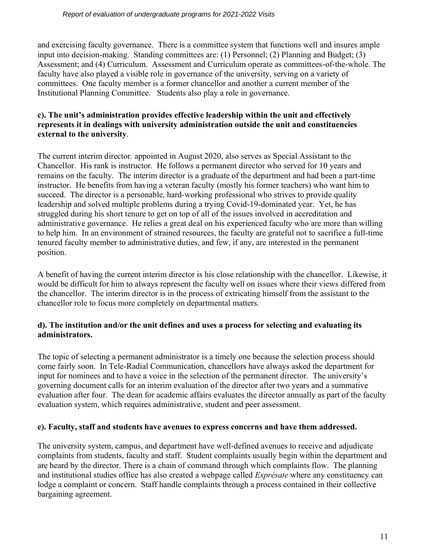and exercising faculty governance. There is a committee system that functions well and insures ample input into decision-making. Standing committees are: (1) Personnel; (2) Planning and Budget; (3) Assessment; and (4) Curriculum. Assessment and Curriculum operate as committees-of-the-whole. The faculty have also played a visible role in governance of the university, serving on a variety of committees. One faculty member is a former chancellor and another a current member of the Institutional Planning Committee. Students also play a role in governance.

### **c). The unit's administration provides effective leadership within the unit and effectively represents it in dealings with university administration outside the unit and constituencies external to the university**.

The current interim director. appointed in August 2020, also serves as Special Assistant to the Chancellor. His rank is instructor. He follows a permanent director who served for 10 years and remains on the faculty. The interim director is a graduate of the department and had been a part-time instructor. He benefits from having a veteran faculty (mostly his former teachers) who want him to succeed. The director is a personable, hard-working professional who strives to provide quality leadership and solved multiple problems during a trying Covid-19-dominated year. Yet, he has struggled during his short tenure to get on top of all of the issues involved in accreditation and administrative governance. He relies a great deal on his experienced faculty who are more than willing to help him. In an environment of strained resources, the faculty are grateful not to sacrifice a full-time tenured faculty member to administrative duties, and few, if any, are interested in the permanent position.

A benefit of having the current interim director is his close relationship with the chancellor. Likewise, it would be difficult for him to always represent the faculty well on issues where their views differed from the chancellor. The interim director is in the process of extricating himself from the assistant to the chancellor role to focus more completely on departmental matters.

### **d). The institution and/or the unit defines and uses a process for selecting and evaluating its administrators.**

The topic of selecting a permanent administrator is a timely one because the selection process should come fairly soon. In Tele-Radial Communication, chancellors have always asked the department for input for nominees and to have a voice in the selection of the permanent director. The university's governing document calls for an interim evaluation of the director after two years and a summative evaluation after four. The dean for academic affairs evaluates the director annually as part of the faculty evaluation system, which requires administrative, student and peer assessment.

### **e). Faculty, staff and students have avenues to express concerns and have them addressed.**

The university system, campus, and department have well-defined avenues to receive and adjudicate complaints from students, faculty and staff. Student complaints usually begin within the department and are heard by the director. There is a chain of command through which complaints flow. The planning and institutional studies office has also created a webpage called *Exprésate* where any constituency can lodge a complaint or concern. Staff handle complaints through a process contained in their collective bargaining agreement.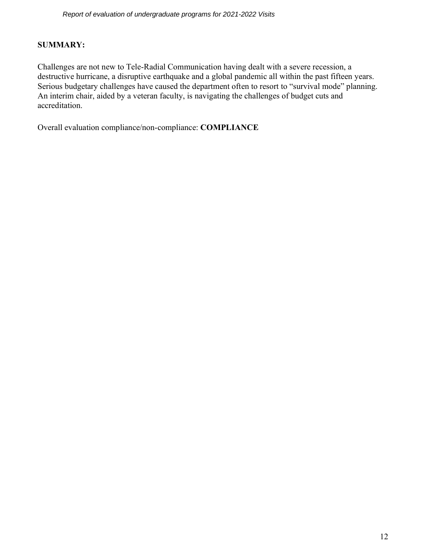### **SUMMARY:**

Challenges are not new to Tele-Radial Communication having dealt with a severe recession, a destructive hurricane, a disruptive earthquake and a global pandemic all within the past fifteen years. Serious budgetary challenges have caused the department often to resort to "survival mode" planning. An interim chair, aided by a veteran faculty, is navigating the challenges of budget cuts and accreditation.

Overall evaluation compliance/non-compliance: **COMPLIANCE**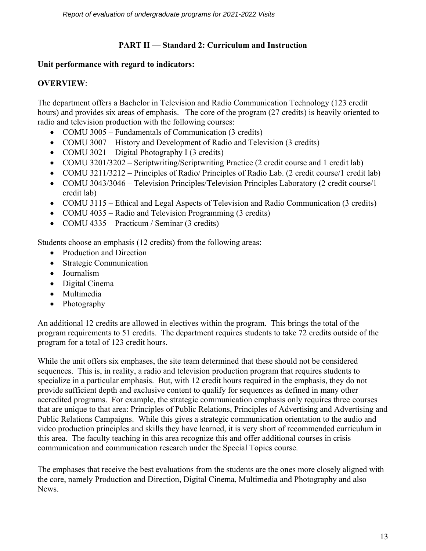### **PART II — Standard 2: Curriculum and Instruction**

### **Unit performance with regard to indicators:**

### **OVERVIEW**:

The department offers a Bachelor in Television and Radio Communication Technology (123 credit hours) and provides six areas of emphasis. The core of the program (27 credits) is heavily oriented to radio and television production with the following courses:

- COMU 3005 Fundamentals of Communication (3 credits)
- COMU 3007 History and Development of Radio and Television (3 credits)
- COMU 3021 Digital Photography I (3 credits)
- COMU 3201/3202 Scriptwriting/Scriptwriting Practice (2 credit course and 1 credit lab)
- COMU 3211/3212 Principles of Radio/ Principles of Radio Lab. (2 credit course/1 credit lab)
- COMU 3043/3046 Television Principles/Television Principles Laboratory (2 credit course/1) credit lab)
- COMU 3115 Ethical and Legal Aspects of Television and Radio Communication (3 credits)
- COMU 4035 Radio and Television Programming (3 credits)
- COMU 4335 Practicum / Seminar (3 credits)

Students choose an emphasis (12 credits) from the following areas:

- Production and Direction
- Strategic Communication
- Journalism
- Digital Cinema
- Multimedia
- Photography

An additional 12 credits are allowed in electives within the program. This brings the total of the program requirements to 51 credits. The department requires students to take 72 credits outside of the program for a total of 123 credit hours.

While the unit offers six emphases, the site team determined that these should not be considered sequences. This is, in reality, a radio and television production program that requires students to specialize in a particular emphasis. But, with 12 credit hours required in the emphasis, they do not provide sufficient depth and exclusive content to qualify for sequences as defined in many other accredited programs. For example, the strategic communication emphasis only requires three courses that are unique to that area: Principles of Public Relations, Principles of Advertising and Advertising and Public Relations Campaigns. While this gives a strategic communication orientation to the audio and video production principles and skills they have learned, it is very short of recommended curriculum in this area. The faculty teaching in this area recognize this and offer additional courses in crisis communication and communication research under the Special Topics course.

The emphases that receive the best evaluations from the students are the ones more closely aligned with the core, namely Production and Direction, Digital Cinema, Multimedia and Photography and also **News**.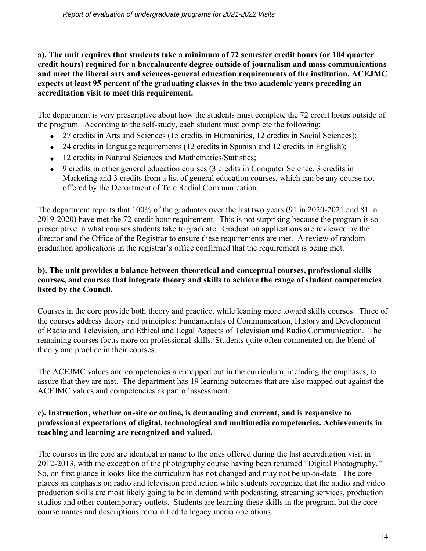### **a). The unit requires that students take a minimum of 72 semester credit hours (or 104 quarter credit hours) required for a baccalaureate degree outside of journalism and mass communications and meet the liberal arts and sciences-general education requirements of the institution. ACEJMC expects at least 95 percent of the graduating classes in the two academic years preceding an accreditation visit to meet this requirement.**

The department is very prescriptive about how the students must complete the 72 credit hours outside of the program. According to the self-study, each student must complete the following:

- 27 credits in Arts and Sciences (15 credits in Humanities, 12 credits in Social Sciences);
- 24 credits in language requirements (12 credits in Spanish and 12 credits in English);
- 12 credits in Natural Sciences and Mathematics/Statistics;
- 9 credits in other general education courses (3 credits in Computer Science, 3 credits in Marketing and 3 credits from a list of general education courses, which can be any course not offered by the Department of Tele Radial Communication.

The department reports that 100% of the graduates over the last two years (91 in 2020-2021 and 81 in 2019-2020) have met the 72-credit hour requirement. This is not surprising because the program is so prescriptive in what courses students take to graduate. Graduation applications are reviewed by the director and the Office of the Registrar to ensure these requirements are met. A review of random graduation applications in the registrar's office confirmed that the requirement is being met.

### **b). The unit provides a balance between theoretical and conceptual courses, professional skills courses, and courses that integrate theory and skills to achieve the range of student competencies listed by the Council.**

Courses in the core provide both theory and practice, while leaning more toward skills courses. Three of the courses address theory and principles: Fundamentals of Communication, History and Development of Radio and Television, and Ethical and Legal Aspects of Television and Radio Communication. The remaining courses focus more on professional skills. Students quite often commented on the blend of theory and practice in their courses.

The ACEJMC values and competencies are mapped out in the curriculum, including the emphases, to assure that they are met. The department has 19 learning outcomes that are also mapped out against the ACEJMC values and competencies as part of assessment.

### **c). Instruction, whether on-site or online, is demanding and current, and is responsive to professional expectations of digital, technological and multimedia competencies. Achievements in teaching and learning are recognized and valued.**

The courses in the core are identical in name to the ones offered during the last accreditation visit in 2012-2013, with the exception of the photography course having been renamed "Digital Photography." So, on first glance it looks like the curriculum has not changed and may not be up-to-date. The core places an emphasis on radio and television production while students recognize that the audio and video production skills are most likely going to be in demand with podcasting, streaming services, production studios and other contemporary outlets. Students are learning these skills in the program, but the core course names and descriptions remain tied to legacy media operations.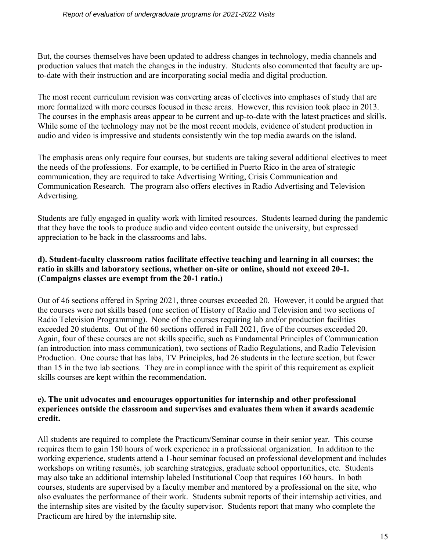But, the courses themselves have been updated to address changes in technology, media channels and production values that match the changes in the industry. Students also commented that faculty are upto-date with their instruction and are incorporating social media and digital production.

The most recent curriculum revision was converting areas of electives into emphases of study that are more formalized with more courses focused in these areas. However, this revision took place in 2013. The courses in the emphasis areas appear to be current and up-to-date with the latest practices and skills. While some of the technology may not be the most recent models, evidence of student production in audio and video is impressive and students consistently win the top media awards on the island.

The emphasis areas only require four courses, but students are taking several additional electives to meet the needs of the professions. For example, to be certified in Puerto Rico in the area of strategic communication, they are required to take Advertising Writing, Crisis Communication and Communication Research. The program also offers electives in Radio Advertising and Television Advertising.

Students are fully engaged in quality work with limited resources. Students learned during the pandemic that they have the tools to produce audio and video content outside the university, but expressed appreciation to be back in the classrooms and labs.

### **d). Student-faculty classroom ratios facilitate effective teaching and learning in all courses; the ratio in skills and laboratory sections, whether on-site or online, should not exceed 20-1. (Campaigns classes are exempt from the 20-1 ratio.)**

Out of 46 sections offered in Spring 2021, three courses exceeded 20. However, it could be argued that the courses were not skills based (one section of History of Radio and Television and two sections of Radio Television Programming). None of the courses requiring lab and/or production facilities exceeded 20 students. Out of the 60 sections offered in Fall 2021, five of the courses exceeded 20. Again, four of these courses are not skills specific, such as Fundamental Principles of Communication (an introduction into mass communication), two sections of Radio Regulations, and Radio Television Production. One course that has labs, TV Principles, had 26 students in the lecture section, but fewer than 15 in the two lab sections. They are in compliance with the spirit of this requirement as explicit skills courses are kept within the recommendation.

#### **e). The unit advocates and encourages opportunities for internship and other professional experiences outside the classroom and supervises and evaluates them when it awards academic credit.**

All students are required to complete the Practicum/Seminar course in their senior year. This course requires them to gain 150 hours of work experience in a professional organization. In addition to the working experience, students attend a 1-hour seminar focused on professional development and includes workshops on writing resumés, job searching strategies, graduate school opportunities, etc. Students may also take an additional internship labeled Institutional Coop that requires 160 hours. In both courses, students are supervised by a faculty member and mentored by a professional on the site, who also evaluates the performance of their work. Students submit reports of their internship activities, and the internship sites are visited by the faculty supervisor. Students report that many who complete the Practicum are hired by the internship site.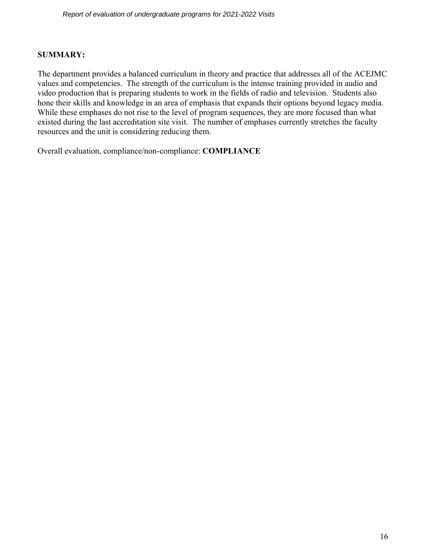#### **SUMMARY:**

The department provides a balanced curriculum in theory and practice that addresses all of the ACEJMC values and competencies. The strength of the curriculum is the intense training provided in audio and video production that is preparing students to work in the fields of radio and television. Students also hone their skills and knowledge in an area of emphasis that expands their options beyond legacy media. While these emphases do not rise to the level of program sequences, they are more focused than what existed during the last accreditation site visit. The number of emphases currently stretches the faculty resources and the unit is considering reducing them.

Overall evaluation, compliance/non-compliance: **COMPLIANCE**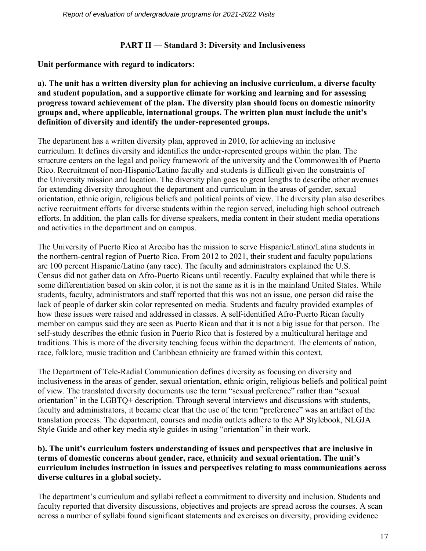### **PART II — Standard 3: Diversity and Inclusiveness**

**Unit performance with regard to indicators:**

**a). The unit has a written diversity plan for achieving an inclusive curriculum, a diverse faculty and student population, and a supportive climate for working and learning and for assessing progress toward achievement of the plan. The diversity plan should focus on domestic minority groups and, where applicable, international groups. The written plan must include the unit's definition of diversity and identify the under-represented groups.**

The department has a written diversity plan, approved in 2010, for achieving an inclusive curriculum. It defines diversity and identifies the under-represented groups within the plan. The structure centers on the legal and policy framework of the university and the Commonwealth of Puerto Rico. Recruitment of non-Hispanic/Latino faculty and students is difficult given the constraints of the University mission and location. The diversity plan goes to great lengths to describe other avenues for extending diversity throughout the department and curriculum in the areas of gender, sexual orientation, ethnic origin, religious beliefs and political points of view. The diversity plan also describes active recruitment efforts for diverse students within the region served, including high school outreach efforts. In addition, the plan calls for diverse speakers, media content in their student media operations and activities in the department and on campus.

The University of Puerto Rico at Arecibo has the mission to serve Hispanic/Latino/Latina students in the northern-central region of Puerto Rico. From 2012 to 2021, their student and faculty populations are 100 percent Hispanic/Latino (any race). The faculty and administrators explained the U.S. Census did not gather data on Afro-Puerto Ricans until recently. Faculty explained that while there is some differentiation based on skin color, it is not the same as it is in the mainland United States. While students, faculty, administrators and staff reported that this was not an issue, one person did raise the lack of people of darker skin color represented on media. Students and faculty provided examples of how these issues were raised and addressed in classes. A self-identified Afro-Puerto Rican faculty member on campus said they are seen as Puerto Rican and that it is not a big issue for that person. The self-study describes the ethnic fusion in Puerto Rico that is fostered by a multicultural heritage and traditions. This is more of the diversity teaching focus within the department. The elements of nation, race, folklore, music tradition and Caribbean ethnicity are framed within this context.

The Department of Tele-Radial Communication defines diversity as focusing on diversity and inclusiveness in the areas of gender, sexual orientation, ethnic origin, religious beliefs and political point of view. The translated diversity documents use the term "sexual preference" rather than "sexual orientation" in the LGBTQ+ description. Through several interviews and discussions with students, faculty and administrators, it became clear that the use of the term "preference" was an artifact of the translation process. The department, courses and media outlets adhere to the AP Stylebook, NLGJA Style Guide and other key media style guides in using "orientation" in their work.

### **b). The unit's curriculum fosters understanding of issues and perspectives that are inclusive in terms of domestic concerns about gender, race, ethnicity and sexual orientation. The unit's curriculum includes instruction in issues and perspectives relating to mass communications across diverse cultures in a global society.**

The department's curriculum and syllabi reflect a commitment to diversity and inclusion. Students and faculty reported that diversity discussions, objectives and projects are spread across the courses. A scan across a number of syllabi found significant statements and exercises on diversity, providing evidence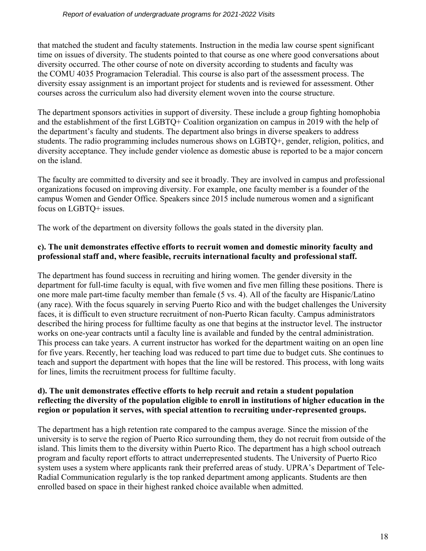that matched the student and faculty statements. Instruction in the media law course spent significant time on issues of diversity. The students pointed to that course as one where good conversations about diversity occurred. The other course of note on diversity according to students and faculty was the COMU 4035 Programacion Teleradial. This course is also part of the assessment process. The diversity essay assignment is an important project for students and is reviewed for assessment. Other courses across the curriculum also had diversity element woven into the course structure.

The department sponsors activities in support of diversity. These include a group fighting homophobia and the establishment of the first LGBTQ+ Coalition organization on campus in 2019 with the help of the department's faculty and students. The department also brings in diverse speakers to address students. The radio programming includes numerous shows on LGBTQ+, gender, religion, politics, and diversity acceptance. They include gender violence as domestic abuse is reported to be a major concern on the island.

The faculty are committed to diversity and see it broadly. They are involved in campus and professional organizations focused on improving diversity. For example, one faculty member is a founder of the campus Women and Gender Office. Speakers since 2015 include numerous women and a significant focus on LGBTQ+ issues.

The work of the department on diversity follows the goals stated in the diversity plan.

### **c). The unit demonstrates effective efforts to recruit women and domestic minority faculty and professional staff and, where feasible, recruits international faculty and professional staff.**

The department has found success in recruiting and hiring women. The gender diversity in the department for full-time faculty is equal, with five women and five men filling these positions. There is one more male part-time faculty member than female (5 vs. 4). All of the faculty are Hispanic/Latino (any race). With the focus squarely in serving Puerto Rico and with the budget challenges the University faces, it is difficult to even structure recruitment of non-Puerto Rican faculty. Campus administrators described the hiring process for fulltime faculty as one that begins at the instructor level. The instructor works on one-year contracts until a faculty line is available and funded by the central administration. This process can take years. A current instructor has worked for the department waiting on an open line for five years. Recently, her teaching load was reduced to part time due to budget cuts. She continues to teach and support the department with hopes that the line will be restored. This process, with long waits for lines, limits the recruitment process for fulltime faculty.

### **d). The unit demonstrates effective efforts to help recruit and retain a student population reflecting the diversity of the population eligible to enroll in institutions of higher education in the region or population it serves, with special attention to recruiting under-represented groups.**

The department has a high retention rate compared to the campus average. Since the mission of the university is to serve the region of Puerto Rico surrounding them, they do not recruit from outside of the island. This limits them to the diversity within Puerto Rico. The department has a high school outreach program and faculty report efforts to attract underrepresented students. The University of Puerto Rico system uses a system where applicants rank their preferred areas of study. UPRA's Department of Tele-Radial Communication regularly is the top ranked department among applicants. Students are then enrolled based on space in their highest ranked choice available when admitted.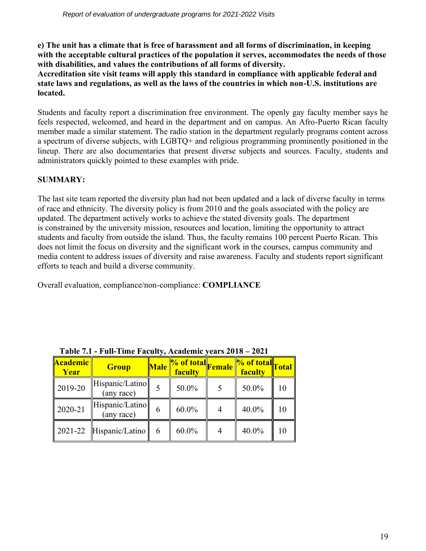**e) The unit has a climate that is free of harassment and all forms of discrimination, in keeping with the acceptable cultural practices of the population it serves, accommodates the needs of those with disabilities, and values the contributions of all forms of diversity.**

**Accreditation site visit teams will apply this standard in compliance with applicable federal and state laws and regulations, as well as the laws of the countries in which non-U.S. institutions are located.**

Students and faculty report a discrimination free environment. The openly gay faculty member says he feels respected, welcomed, and heard in the department and on campus. An Afro-Puerto Rican faculty member made a similar statement. The radio station in the department regularly programs content across a spectrum of diverse subjects, with LGBTQ+ and religious programming prominently positioned in the lineup. There are also documentaries that present diverse subjects and sources. Faculty, students and administrators quickly pointed to these examples with pride.

## **SUMMARY:**

The last site team reported the diversity plan had not been updated and a lack of diverse faculty in terms of race and ethnicity. The diversity policy is from 2010 and the goals associated with the policy are updated. The department actively works to achieve the stated diversity goals. The department is constrained by the university mission, resources and location, limiting the opportunity to attract students and faculty from outside the island. Thus, the faculty remains 100 percent Puerto Rican. This does not limit the focus on diversity and the significant work in the courses, campus community and media content to address issues of diversity and raise awareness. Faculty and students report significant efforts to teach and build a diverse community.

Overall evaluation, compliance/non-compliance: **COMPLIANCE**

| Table 7.1 - Fun-Thile Faculty, Academic years 2010 |                                     |             |                                                      |                                                               |    |
|----------------------------------------------------|-------------------------------------|-------------|------------------------------------------------------|---------------------------------------------------------------|----|
| <b>Academic</b><br>Year                            | <b>Group</b>                        | <b>Male</b> | 1 <mark>% of total</mark> Female <b>F</b><br>faculty | $\sqrt{20}$ of total $\sqrt{2}$ rotal <sup>"</sup><br>faculty |    |
| 2019-20                                            | Hispanic/Latino<br>(any race)       |             | 50.0%                                                | 50.0%                                                         | 10 |
| 2020-21                                            | Hispanic/Latino<br>(any race)       | 6           | $60.0\%$                                             | 40.0%                                                         | 10 |
|                                                    | $\parallel$ 2021-22 Hispanic/Latino | 6           | $60.0\%$                                             | 40.0%                                                         | 10 |

### **Table 7.1 - Full-Time Faculty, Academic years 2018 – 2021**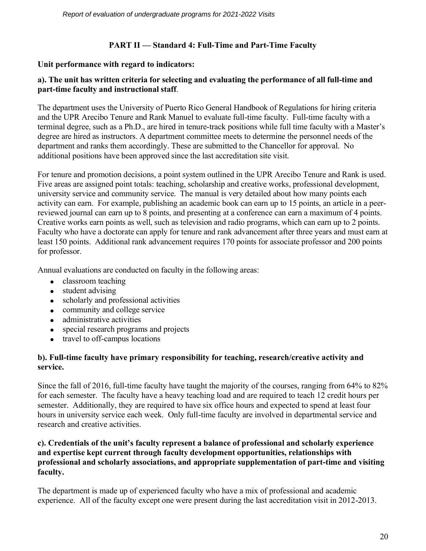### **PART II — Standard 4: Full-Time and Part-Time Faculty**

### **Unit performance with regard to indicators:**

### **a). The unit has written criteria for selecting and evaluating the performance of all full-time and part-time faculty and instructional staff**.

The department uses the University of Puerto Rico General Handbook of Regulations for hiring criteria and the UPR Arecibo Tenure and Rank Manuel to evaluate full-time faculty. Full-time faculty with a terminal degree, such as a Ph.D., are hired in tenure-track positions while full time faculty with a Master's degree are hired as instructors. A department committee meets to determine the personnel needs of the department and ranks them accordingly. These are submitted to the Chancellor for approval. No additional positions have been approved since the last accreditation site visit.

For tenure and promotion decisions, a point system outlined in the UPR Arecibo Tenure and Rank is used. Five areas are assigned point totals: teaching, scholarship and creative works, professional development, university service and community service. The manual is very detailed about how many points each activity can earn. For example, publishing an academic book can earn up to 15 points, an article in a peerreviewed journal can earn up to 8 points, and presenting at a conference can earn a maximum of 4 points. Creative works earn points as well, such as television and radio programs, which can earn up to 2 points. Faculty who have a doctorate can apply for tenure and rank advancement after three years and must earn at least 150 points. Additional rank advancement requires 170 points for associate professor and 200 points for professor.

Annual evaluations are conducted on faculty in the following areas:

- classroom teaching
- student advising
- scholarly and professional activities
- community and college service
- administrative activities
- special research programs and projects
- travel to off-campus locations

### **b). Full-time faculty have primary responsibility for teaching, research/creative activity and service.**

Since the fall of 2016, full-time faculty have taught the majority of the courses, ranging from 64% to 82% for each semester. The faculty have a heavy teaching load and are required to teach 12 credit hours per semester. Additionally, they are required to have six office hours and expected to spend at least four hours in university service each week. Only full-time faculty are involved in departmental service and research and creative activities.

### **c). Credentials of the unit's faculty represent a balance of professional and scholarly experience and expertise kept current through faculty development opportunities, relationships with professional and scholarly associations, and appropriate supplementation of part-time and visiting faculty.**

The department is made up of experienced faculty who have a mix of professional and academic experience. All of the faculty except one were present during the last accreditation visit in 2012-2013.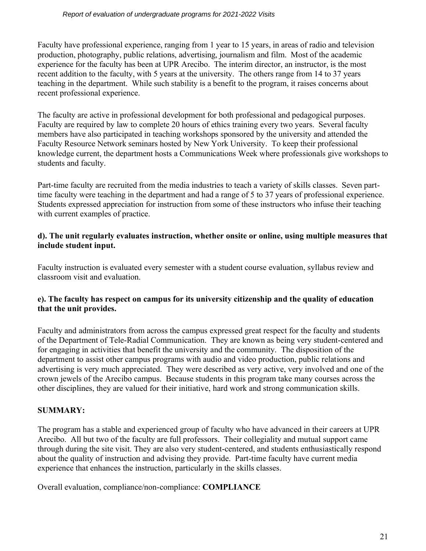#### *Report of evaluation of undergraduate programs for 2021-2022 Visits*

Faculty have professional experience, ranging from 1 year to 15 years, in areas of radio and television production, photography, public relations, advertising, journalism and film. Most of the academic experience for the faculty has been at UPR Arecibo. The interim director, an instructor, is the most recent addition to the faculty, with 5 years at the university. The others range from 14 to 37 years teaching in the department. While such stability is a benefit to the program, it raises concerns about recent professional experience.

The faculty are active in professional development for both professional and pedagogical purposes. Faculty are required by law to complete 20 hours of ethics training every two years. Several faculty members have also participated in teaching workshops sponsored by the university and attended the Faculty Resource Network seminars hosted by New York University. To keep their professional knowledge current, the department hosts a Communications Week where professionals give workshops to students and faculty.

Part-time faculty are recruited from the media industries to teach a variety of skills classes. Seven parttime faculty were teaching in the department and had a range of 5 to 37 years of professional experience. Students expressed appreciation for instruction from some of these instructors who infuse their teaching with current examples of practice.

### **d). The unit regularly evaluates instruction, whether onsite or online, using multiple measures that include student input.**

Faculty instruction is evaluated every semester with a student course evaluation, syllabus review and classroom visit and evaluation.

### **e). The faculty has respect on campus for its university citizenship and the quality of education that the unit provides.**

Faculty and administrators from across the campus expressed great respect for the faculty and students of the Department of Tele-Radial Communication. They are known as being very student-centered and for engaging in activities that benefit the university and the community. The disposition of the department to assist other campus programs with audio and video production, public relations and advertising is very much appreciated. They were described as very active, very involved and one of the crown jewels of the Arecibo campus. Because students in this program take many courses across the other disciplines, they are valued for their initiative, hard work and strong communication skills.

### **SUMMARY:**

The program has a stable and experienced group of faculty who have advanced in their careers at UPR Arecibo. All but two of the faculty are full professors. Their collegiality and mutual support came through during the site visit. They are also very student-centered, and students enthusiastically respond about the quality of instruction and advising they provide. Part-time faculty have current media experience that enhances the instruction, particularly in the skills classes.

Overall evaluation, compliance/non-compliance: **COMPLIANCE**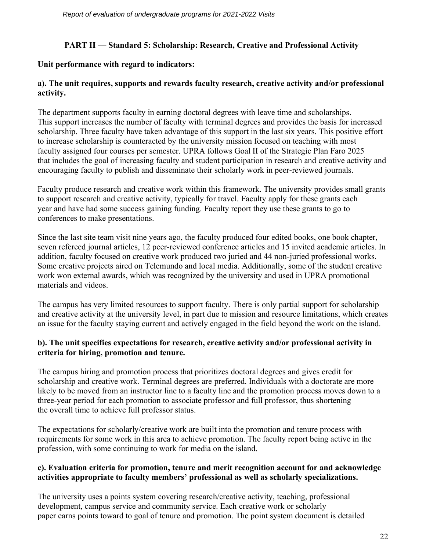### **PART II — Standard 5: Scholarship: Research, Creative and Professional Activity**

### **Unit performance with regard to indicators:**

### **a). The unit requires, supports and rewards faculty research, creative activity and/or professional activity.**

The department supports faculty in earning doctoral degrees with leave time and scholarships. This support increases the number of faculty with terminal degrees and provides the basis for increased scholarship. Three faculty have taken advantage of this support in the last six years. This positive effort to increase scholarship is counteracted by the university mission focused on teaching with most faculty assigned four courses per semester. UPRA follows Goal II of the Strategic Plan Faro 2025 that includes the goal of increasing faculty and student participation in research and creative activity and encouraging faculty to publish and disseminate their scholarly work in peer-reviewed journals.

Faculty produce research and creative work within this framework. The university provides small grants to support research and creative activity, typically for travel. Faculty apply for these grants each year and have had some success gaining funding. Faculty report they use these grants to go to conferences to make presentations.

Since the last site team visit nine years ago, the faculty produced four edited books, one book chapter, seven refereed journal articles, 12 peer-reviewed conference articles and 15 invited academic articles. In addition, faculty focused on creative work produced two juried and 44 non-juried professional works. Some creative projects aired on Telemundo and local media. Additionally, some of the student creative work won external awards, which was recognized by the university and used in UPRA promotional materials and videos.

The campus has very limited resources to support faculty. There is only partial support for scholarship and creative activity at the university level, in part due to mission and resource limitations, which creates an issue for the faculty staying current and actively engaged in the field beyond the work on the island.

### **b). The unit specifies expectations for research, creative activity and/or professional activity in criteria for hiring, promotion and tenure.**

The campus hiring and promotion process that prioritizes doctoral degrees and gives credit for scholarship and creative work. Terminal degrees are preferred. Individuals with a doctorate are more likely to be moved from an instructor line to a faculty line and the promotion process moves down to a three-year period for each promotion to associate professor and full professor, thus shortening the overall time to achieve full professor status.

The expectations for scholarly/creative work are built into the promotion and tenure process with requirements for some work in this area to achieve promotion. The faculty report being active in the profession, with some continuing to work for media on the island.

### **c). Evaluation criteria for promotion, tenure and merit recognition account for and acknowledge activities appropriate to faculty members' professional as well as scholarly specializations.**

The university uses a points system covering research/creative activity, teaching, professional development, campus service and community service. Each creative work or scholarly paper earns points toward to goal of tenure and promotion. The point system document is detailed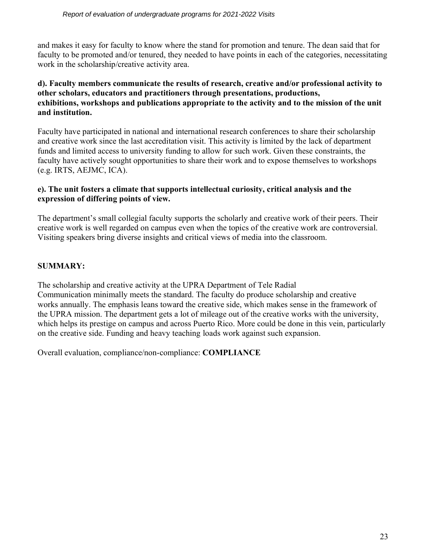and makes it easy for faculty to know where the stand for promotion and tenure. The dean said that for faculty to be promoted and/or tenured, they needed to have points in each of the categories, necessitating work in the scholarship/creative activity area.

### **d). Faculty members communicate the results of research, creative and/or professional activity to other scholars, educators and practitioners through presentations, productions, exhibitions, workshops and publications appropriate to the activity and to the mission of the unit and institution.**

Faculty have participated in national and international research conferences to share their scholarship and creative work since the last accreditation visit. This activity is limited by the lack of department funds and limited access to university funding to allow for such work. Given these constraints, the faculty have actively sought opportunities to share their work and to expose themselves to workshops (e.g. IRTS, AEJMC, ICA).

### **e). The unit fosters a climate that supports intellectual curiosity, critical analysis and the expression of differing points of view.**

The department's small collegial faculty supports the scholarly and creative work of their peers. Their creative work is well regarded on campus even when the topics of the creative work are controversial. Visiting speakers bring diverse insights and critical views of media into the classroom.

### **SUMMARY:**

The scholarship and creative activity at the UPRA Department of Tele Radial Communication minimally meets the standard. The faculty do produce scholarship and creative works annually. The emphasis leans toward the creative side, which makes sense in the framework of the UPRA mission. The department gets a lot of mileage out of the creative works with the university, which helps its prestige on campus and across Puerto Rico. More could be done in this vein, particularly on the creative side. Funding and heavy teaching loads work against such expansion.

Overall evaluation, compliance/non-compliance: **COMPLIANCE**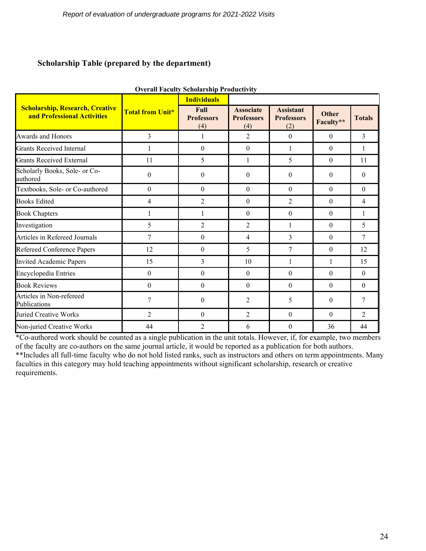### **Scholarship Table (prepared by the department)**

|                                                                       |                         | Overall Paculty Scholarship I Founctivity<br><b>Individuals</b> |                                              |                                              |                           |                |
|-----------------------------------------------------------------------|-------------------------|-----------------------------------------------------------------|----------------------------------------------|----------------------------------------------|---------------------------|----------------|
| <b>Scholarship, Research, Creative</b><br>and Professional Activities | <b>Total from Unit*</b> | <b>Full</b><br><b>Professors</b><br>(4)                         | <b>Associate</b><br><b>Professors</b><br>(4) | <b>Assistant</b><br><b>Professors</b><br>(2) | <b>Other</b><br>Faculty** | <b>Totals</b>  |
| <b>Awards and Honors</b>                                              | 3                       | 1                                                               | $\overline{2}$                               | $\mathbf{0}$                                 | $\mathbf{0}$              | 3              |
| <b>Grants Received Internal</b>                                       |                         | $\boldsymbol{0}$                                                | $\boldsymbol{0}$                             | $\mathbf{1}$                                 | $\theta$                  | 1              |
| <b>Grants Received External</b>                                       | 11                      | 5                                                               | 1                                            | 5                                            | $\theta$                  | 11             |
| Scholarly Books, Sole- or Co-<br>authored                             | $\theta$                | $\boldsymbol{0}$                                                | $\theta$                                     | $\boldsymbol{0}$                             | $\theta$                  | $\theta$       |
| Textbooks, Sole- or Co-authored                                       | $\theta$                | $\mathbf{0}$                                                    | $\theta$                                     | $\theta$                                     | $\theta$                  | $\theta$       |
| <b>Books Edited</b>                                                   | $\overline{4}$          | $\overline{2}$                                                  | $\mathbf{0}$                                 | $\overline{2}$                               | $\theta$                  | 4              |
| <b>Book Chapters</b>                                                  | 1                       | 1                                                               | $\boldsymbol{0}$                             | $\boldsymbol{0}$                             | $\boldsymbol{0}$          | 1              |
| Investigation                                                         | 5                       | $\overline{2}$                                                  | 2                                            | 1                                            | $\theta$                  | 5              |
| Articles in Refereed Journals                                         | 7                       | $\boldsymbol{0}$                                                | $\overline{4}$                               | 3                                            | $\theta$                  | $\overline{7}$ |
| <b>Refereed Conference Papers</b>                                     | 12                      | $\boldsymbol{0}$                                                | 5                                            | 7                                            | $\mathbf{0}$              | 12             |
| <b>Invited Academic Papers</b>                                        | 15                      | 3                                                               | 10                                           | 1                                            | 1                         | 15             |
| <b>Encyclopedia Entries</b>                                           | $\mathbf{0}$            | $\theta$                                                        | $\mathbf{0}$                                 | $\theta$                                     | $\theta$                  | $\overline{0}$ |
| <b>Book Reviews</b>                                                   | $\theta$                | $\boldsymbol{0}$                                                | $\mathbf{0}$                                 | $\theta$                                     | $\mathbf{0}$              | $\theta$       |
| Articles in Non-refereed<br>Publications                              | 7                       | $\mathbf{0}$                                                    | $\overline{2}$                               | 5                                            | $\theta$                  | 7              |
| <b>Juried Creative Works</b>                                          | $\overline{2}$          | $\boldsymbol{0}$                                                | $\overline{2}$                               | $\theta$                                     | $\Omega$                  | $\overline{2}$ |
| Non-juried Creative Works                                             | 44                      | $\overline{2}$                                                  | 6                                            | $\theta$                                     | 36                        | 44             |

**Overall Faculty Scholarship Productivity**

\*Co-authored work should be counted as a single publication in the unit totals. However, if, for example, two members of the faculty are co-authors on the same journal article, it would be reported as a publication for both authors.

\*\*Includes all full-time faculty who do not hold listed ranks, such as instructors and others on term appointments. Many faculties in this category may hold teaching appointments without significant scholarship, research or creative requirements.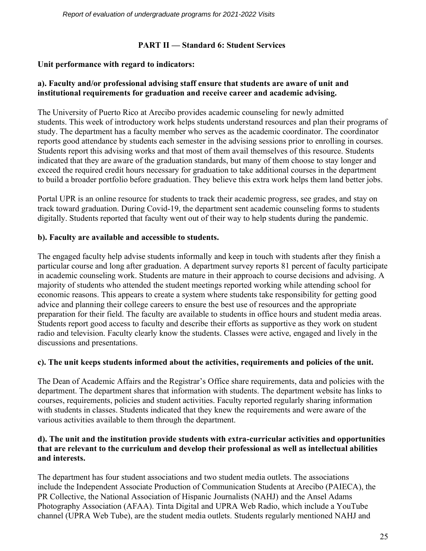### **PART II — Standard 6: Student Services**

### **Unit performance with regard to indicators:**

### **a). Faculty and/or professional advising staff ensure that students are aware of unit and institutional requirements for graduation and receive career and academic advising.**

The University of Puerto Rico at Arecibo provides academic counseling for newly admitted students. This week of introductory work helps students understand resources and plan their programs of study. The department has a faculty member who serves as the academic coordinator. The coordinator reports good attendance by students each semester in the advising sessions prior to enrolling in courses. Students report this advising works and that most of them avail themselves of this resource. Students indicated that they are aware of the graduation standards, but many of them choose to stay longer and exceed the required credit hours necessary for graduation to take additional courses in the department to build a broader portfolio before graduation. They believe this extra work helps them land better jobs.

Portal UPR is an online resource for students to track their academic progress, see grades, and stay on track toward graduation. During Covid-19, the department sent academic counseling forms to students digitally. Students reported that faculty went out of their way to help students during the pandemic.

### **b). Faculty are available and accessible to students.**

The engaged faculty help advise students informally and keep in touch with students after they finish a particular course and long after graduation. A department survey reports 81 percent of faculty participate in academic counseling work. Students are mature in their approach to course decisions and advising. A majority of students who attended the student meetings reported working while attending school for economic reasons. This appears to create a system where students take responsibility for getting good advice and planning their college careers to ensure the best use of resources and the appropriate preparation for their field. The faculty are available to students in office hours and student media areas. Students report good access to faculty and describe their efforts as supportive as they work on student radio and television. Faculty clearly know the students. Classes were active, engaged and lively in the discussions and presentations.

### **c). The unit keeps students informed about the activities, requirements and policies of the unit.**

The Dean of Academic Affairs and the Registrar's Office share requirements, data and policies with the department. The department shares that information with students. The department website has links to courses, requirements, policies and student activities. Faculty reported regularly sharing information with students in classes. Students indicated that they knew the requirements and were aware of the various activities available to them through the department.

### **d). The unit and the institution provide students with extra-curricular activities and opportunities that are relevant to the curriculum and develop their professional as well as intellectual abilities and interests.**

The department has four student associations and two student media outlets. The associations include the Independent Associate Production of Communication Students at Arecibo (PAIECA), the PR Collective, the National Association of Hispanic Journalists (NAHJ) and the Ansel Adams Photography Association (AFAA). Tinta Digital and UPRA Web Radio, which include a YouTube channel (UPRA Web Tube), are the student media outlets. Students regularly mentioned NAHJ and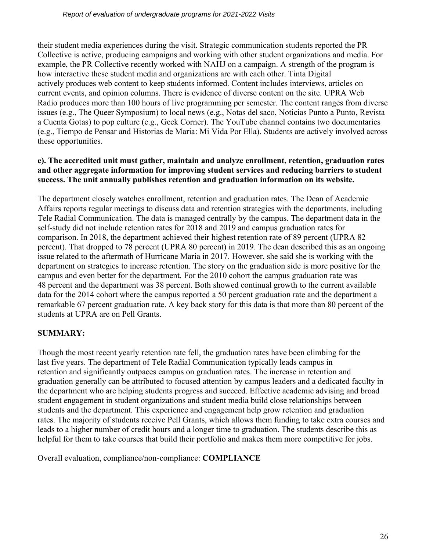their student media experiences during the visit. Strategic communication students reported the PR Collective is active, producing campaigns and working with other student organizations and media. For example, the PR Collective recently worked with NAHJ on a campaign. A strength of the program is how interactive these student media and organizations are with each other. Tinta Digital actively produces web content to keep students informed. Content includes interviews, articles on current events, and opinion columns. There is evidence of diverse content on the site. UPRA Web Radio produces more than 100 hours of live programming per semester. The content ranges from diverse issues (e.g., The Queer Symposium) to local news (e.g., Notas del saco, Noticias Punto a Punto, Revista a Cuenta Gotas) to pop culture (e.g., Geek Corner). The YouTube channel contains two documentaries (e.g., Tiempo de Pensar and Historias de Maria: Mi Vida Por Ella). Students are actively involved across these opportunities.

### **e). The accredited unit must gather, maintain and analyze enrollment, retention, graduation rates and other aggregate information for improving student services and reducing barriers to student success. The unit annually publishes retention and graduation information on its website.**

The department closely watches enrollment, retention and graduation rates. The Dean of Academic Affairs reports regular meetings to discuss data and retention strategies with the departments, including Tele Radial Communication. The data is managed centrally by the campus. The department data in the self-study did not include retention rates for 2018 and 2019 and campus graduation rates for comparison. In 2018, the department achieved their highest retention rate of 89 percent (UPRA 82 percent). That dropped to 78 percent (UPRA 80 percent) in 2019. The dean described this as an ongoing issue related to the aftermath of Hurricane Maria in 2017. However, she said she is working with the department on strategies to increase retention. The story on the graduation side is more positive for the campus and even better for the department. For the 2010 cohort the campus graduation rate was 48 percent and the department was 38 percent. Both showed continual growth to the current available data for the 2014 cohort where the campus reported a 50 percent graduation rate and the department a remarkable 67 percent graduation rate. A key back story for this data is that more than 80 percent of the students at UPRA are on Pell Grants.

### **SUMMARY:**

Though the most recent yearly retention rate fell, the graduation rates have been climbing for the last five years. The department of Tele Radial Communication typically leads campus in retention and significantly outpaces campus on graduation rates. The increase in retention and graduation generally can be attributed to focused attention by campus leaders and a dedicated faculty in the department who are helping students progress and succeed. Effective academic advising and broad student engagement in student organizations and student media build close relationships between students and the department. This experience and engagement help grow retention and graduation rates. The majority of students receive Pell Grants, which allows them funding to take extra courses and leads to a higher number of credit hours and a longer time to graduation. The students describe this as helpful for them to take courses that build their portfolio and makes them more competitive for jobs.

Overall evaluation, compliance/non-compliance: **COMPLIANCE**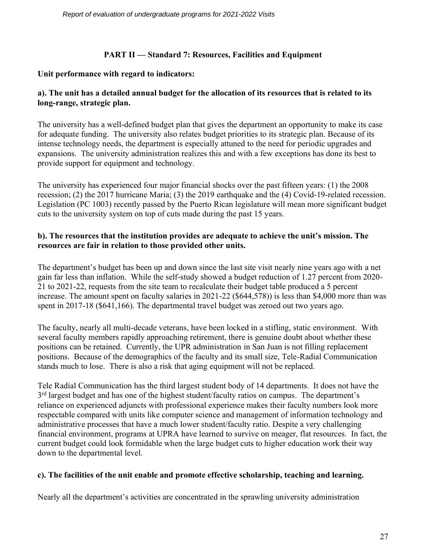### **PART II — Standard 7: Resources, Facilities and Equipment**

### **Unit performance with regard to indicators:**

### **a). The unit has a detailed annual budget for the allocation of its resources that is related to its long-range, strategic plan.**

The university has a well-defined budget plan that gives the department an opportunity to make its case for adequate funding. The university also relates budget priorities to its strategic plan. Because of its intense technology needs, the department is especially attuned to the need for periodic upgrades and expansions. The university administration realizes this and with a few exceptions has done its best to provide support for equipment and technology.

The university has experienced four major financial shocks over the past fifteen years: (1) the 2008 recession; (2) the 2017 hurricane Maria; (3) the 2019 earthquake and the (4) Covid-19-related recession. Legislation (PC 1003) recently passed by the Puerto Rican legislature will mean more significant budget cuts to the university system on top of cuts made during the past 15 years.

### **b). The resources that the institution provides are adequate to achieve the unit's mission. The resources are fair in relation to those provided other units.**

The department's budget has been up and down since the last site visit nearly nine years ago with a net gain far less than inflation. While the self-study showed a budget reduction of 1.27 percent from 2020- 21 to 2021-22, requests from the site team to recalculate their budget table produced a 5 percent increase. The amount spent on faculty salaries in 2021-22 (\$644,578)) is less than \$4,000 more than was spent in 2017-18 (\$641,166). The departmental travel budget was zeroed out two years ago.

The faculty, nearly all multi-decade veterans, have been locked in a stifling, static environment. With several faculty members rapidly approaching retirement, there is genuine doubt about whether these positions can be retained. Currently, the UPR administration in San Juan is not filling replacement positions. Because of the demographics of the faculty and its small size, Tele-Radial Communication stands much to lose. There is also a risk that aging equipment will not be replaced.

Tele Radial Communication has the third largest student body of 14 departments. It does not have the 3<sup>rd</sup> largest budget and has one of the highest student/faculty ratios on campus. The department's reliance on experienced adjuncts with professional experience makes their faculty numbers look more respectable compared with units like computer science and management of information technology and administrative processes that have a much lower student/faculty ratio. Despite a very challenging financial environment, programs at UPRA have learned to survive on meager, flat resources. In fact, the current budget could look formidable when the large budget cuts to higher education work their way down to the departmental level.

### **c). The facilities of the unit enable and promote effective scholarship, teaching and learning.**

Nearly all the department's activities are concentrated in the sprawling university administration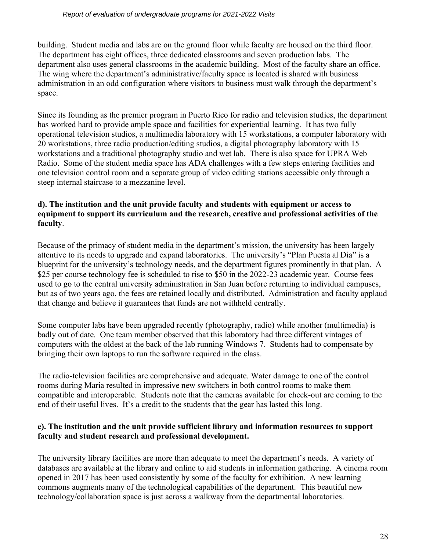#### *Report of evaluation of undergraduate programs for 2021-2022 Visits*

building. Student media and labs are on the ground floor while faculty are housed on the third floor. The department has eight offices, three dedicated classrooms and seven production labs. The department also uses general classrooms in the academic building. Most of the faculty share an office. The wing where the department's administrative/faculty space is located is shared with business administration in an odd configuration where visitors to business must walk through the department's space.

Since its founding as the premier program in Puerto Rico for radio and television studies, the department has worked hard to provide ample space and facilities for experiential learning. It has two fully operational television studios, a multimedia laboratory with 15 workstations, a computer laboratory with 20 workstations, three radio production/editing studios, a digital photography laboratory with 15 workstations and a traditional photography studio and wet lab. There is also space for UPRA Web Radio. Some of the student media space has ADA challenges with a few steps entering facilities and one television control room and a separate group of video editing stations accessible only through a steep internal staircase to a mezzanine level.

### **d). The institution and the unit provide faculty and students with equipment or access to equipment to support its curriculum and the research, creative and professional activities of the faculty**.

Because of the primacy of student media in the department's mission, the university has been largely attentive to its needs to upgrade and expand laboratories. The university's "Plan Puesta al Dia" is a blueprint for the university's technology needs, and the department figures prominently in that plan. A \$25 per course technology fee is scheduled to rise to \$50 in the 2022-23 academic year. Course fees used to go to the central university administration in San Juan before returning to individual campuses, but as of two years ago, the fees are retained locally and distributed. Administration and faculty applaud that change and believe it guarantees that funds are not withheld centrally.

Some computer labs have been upgraded recently (photography, radio) while another (multimedia) is badly out of date. One team member observed that this laboratory had three different vintages of computers with the oldest at the back of the lab running Windows 7. Students had to compensate by bringing their own laptops to run the software required in the class.

The radio-television facilities are comprehensive and adequate. Water damage to one of the control rooms during Maria resulted in impressive new switchers in both control rooms to make them compatible and interoperable. Students note that the cameras available for check-out are coming to the end of their useful lives. It's a credit to the students that the gear has lasted this long.

### **e). The institution and the unit provide sufficient library and information resources to support faculty and student research and professional development.**

The university library facilities are more than adequate to meet the department's needs. A variety of databases are available at the library and online to aid students in information gathering. A cinema room opened in 2017 has been used consistently by some of the faculty for exhibition. A new learning commons augments many of the technological capabilities of the department. This beautiful new technology/collaboration space is just across a walkway from the departmental laboratories.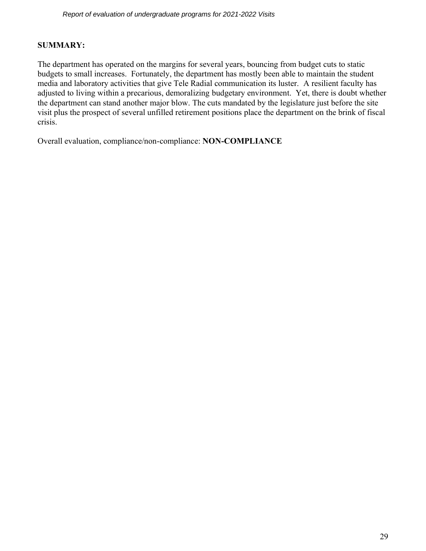### **SUMMARY:**

The department has operated on the margins for several years, bouncing from budget cuts to static budgets to small increases. Fortunately, the department has mostly been able to maintain the student media and laboratory activities that give Tele Radial communication its luster. A resilient faculty has adjusted to living within a precarious, demoralizing budgetary environment. Yet, there is doubt whether the department can stand another major blow. The cuts mandated by the legislature just before the site visit plus the prospect of several unfilled retirement positions place the department on the brink of fiscal crisis.

Overall evaluation, compliance/non-compliance: **NON-COMPLIANCE**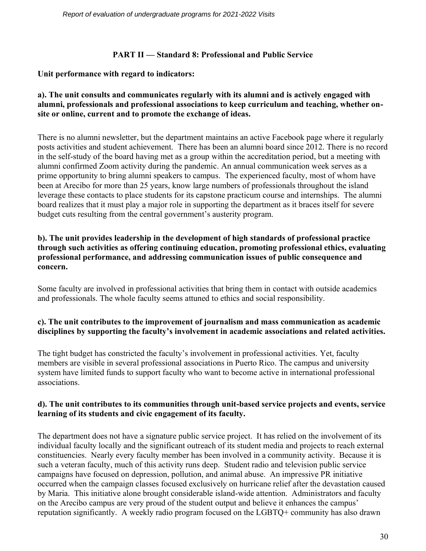### **PART II — Standard 8: Professional and Public Service**

### **Unit performance with regard to indicators:**

### **a). The unit consults and communicates regularly with its alumni and is actively engaged with alumni, professionals and professional associations to keep curriculum and teaching, whether onsite or online, current and to promote the exchange of ideas.**

There is no alumni newsletter, but the department maintains an active Facebook page where it regularly posts activities and student achievement. There has been an alumni board since 2012. There is no record in the self-study of the board having met as a group within the accreditation period, but a meeting with alumni confirmed Zoom activity during the pandemic. An annual communication week serves as a prime opportunity to bring alumni speakers to campus. The experienced faculty, most of whom have been at Arecibo for more than 25 years, know large numbers of professionals throughout the island leverage these contacts to place students for its capstone practicum course and internships. The alumni board realizes that it must play a major role in supporting the department as it braces itself for severe budget cuts resulting from the central government's austerity program.

### **b). The unit provides leadership in the development of high standards of professional practice through such activities as offering continuing education, promoting professional ethics, evaluating professional performance, and addressing communication issues of public consequence and concern.**

Some faculty are involved in professional activities that bring them in contact with outside academics and professionals. The whole faculty seems attuned to ethics and social responsibility.

### **c). The unit contributes to the improvement of journalism and mass communication as academic disciplines by supporting the faculty's involvement in academic associations and related activities.**

The tight budget has constricted the faculty's involvement in professional activities. Yet, faculty members are visible in several professional associations in Puerto Rico. The campus and university system have limited funds to support faculty who want to become active in international professional associations.

### **d). The unit contributes to its communities through unit-based service projects and events, service learning of its students and civic engagement of its faculty.**

The department does not have a signature public service project. It has relied on the involvement of its individual faculty locally and the significant outreach of its student media and projects to reach external constituencies. Nearly every faculty member has been involved in a community activity. Because it is such a veteran faculty, much of this activity runs deep. Student radio and television public service campaigns have focused on depression, pollution, and animal abuse. An impressive PR initiative occurred when the campaign classes focused exclusively on hurricane relief after the devastation caused by Maria. This initiative alone brought considerable island-wide attention. Administrators and faculty on the Arecibo campus are very proud of the student output and believe it enhances the campus' reputation significantly. A weekly radio program focused on the LGBTQ+ community has also drawn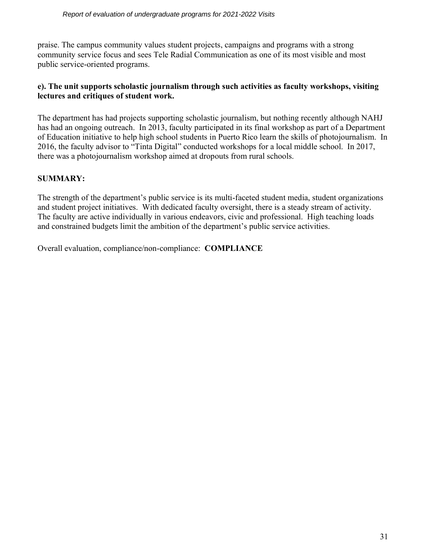praise. The campus community values student projects, campaigns and programs with a strong community service focus and sees Tele Radial Communication as one of its most visible and most public service-oriented programs.

### **e). The unit supports scholastic journalism through such activities as faculty workshops, visiting lectures and critiques of student work.**

The department has had projects supporting scholastic journalism, but nothing recently although NAHJ has had an ongoing outreach. In 2013, faculty participated in its final workshop as part of a Department of Education initiative to help high school students in Puerto Rico learn the skills of photojournalism. In 2016, the faculty advisor to "Tinta Digital" conducted workshops for a local middle school. In 2017, there was a photojournalism workshop aimed at dropouts from rural schools.

### **SUMMARY:**

The strength of the department's public service is its multi-faceted student media, student organizations and student project initiatives. With dedicated faculty oversight, there is a steady stream of activity. The faculty are active individually in various endeavors, civic and professional. High teaching loads and constrained budgets limit the ambition of the department's public service activities.

Overall evaluation, compliance/non-compliance: **COMPLIANCE**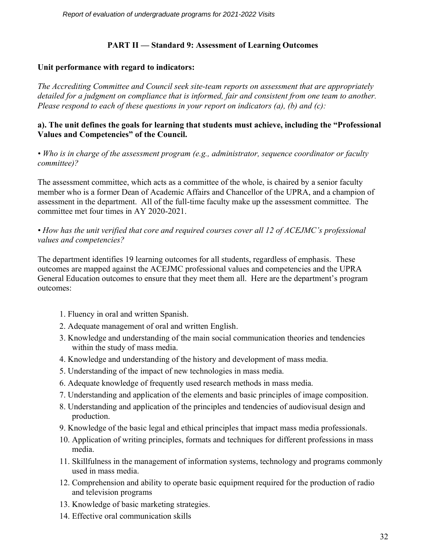### **PART II — Standard 9: Assessment of Learning Outcomes**

### **Unit performance with regard to indicators:**

*The Accrediting Committee and Council seek site-team reports on assessment that are appropriately detailed for a judgment on compliance that is informed, fair and consistent from one team to another. Please respond to each of these questions in your report on indicators (a), (b) and (c):*

### **a). The unit defines the goals for learning that students must achieve, including the "Professional Values and Competencies" of the Council.**

*• Who is in charge of the assessment program (e.g., administrator, sequence coordinator or faculty committee)?*

The assessment committee, which acts as a committee of the whole, is chaired by a senior faculty member who is a former Dean of Academic Affairs and Chancellor of the UPRA, and a champion of assessment in the department. All of the full-time faculty make up the assessment committee. The committee met four times in AY 2020-2021.

*• How has the unit verified that core and required courses cover all 12 of ACEJMC's professional values and competencies?*

The department identifies 19 learning outcomes for all students, regardless of emphasis. These outcomes are mapped against the ACEJMC professional values and competencies and the UPRA General Education outcomes to ensure that they meet them all. Here are the department's program outcomes:

- 1. Fluency in oral and written Spanish.
- 2. Adequate management of oral and written English.
- 3. Knowledge and understanding of the main social communication theories and tendencies within the study of mass media.
- 4. Knowledge and understanding of the history and development of mass media.
- 5. Understanding of the impact of new technologies in mass media.
- 6. Adequate knowledge of frequently used research methods in mass media.
- 7. Understanding and application of the elements and basic principles of image composition.
- 8. Understanding and application of the principles and tendencies of audiovisual design and production.
- 9. Knowledge of the basic legal and ethical principles that impact mass media professionals.
- 10. Application of writing principles, formats and techniques for different professions in mass media.
- 11. Skillfulness in the management of information systems, technology and programs commonly used in mass media.
- 12. Comprehension and ability to operate basic equipment required for the production of radio and television programs
- 13. Knowledge of basic marketing strategies.
- 14. Effective oral communication skills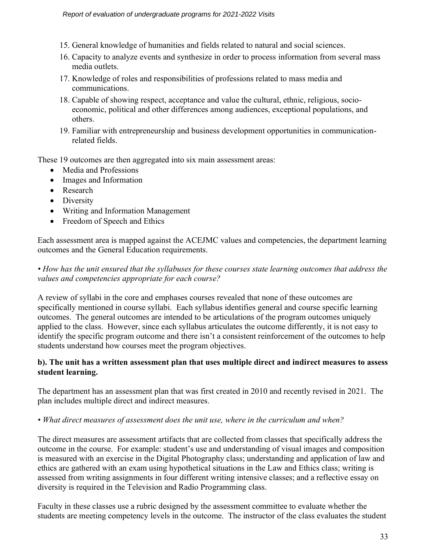- 15. General knowledge of humanities and fields related to natural and social sciences.
- 16. Capacity to analyze events and synthesize in order to process information from several mass media outlets.
- 17. Knowledge of roles and responsibilities of professions related to mass media and communications.
- 18. Capable of showing respect, acceptance and value the cultural, ethnic, religious, socioeconomic, political and other differences among audiences, exceptional populations, and others.
- 19. Familiar with entrepreneurship and business development opportunities in communicationrelated fields.

These 19 outcomes are then aggregated into six main assessment areas:

- Media and Professions
- Images and Information
- Research
- Diversity
- Writing and Information Management
- Freedom of Speech and Ethics

Each assessment area is mapped against the ACEJMC values and competencies, the department learning outcomes and the General Education requirements.

### *• How has the unit ensured that the syllabuses for these courses state learning outcomes that address the values and competencies appropriate for each course?*

A review of syllabi in the core and emphases courses revealed that none of these outcomes are specifically mentioned in course syllabi. Each syllabus identifies general and course specific learning outcomes. The general outcomes are intended to be articulations of the program outcomes uniquely applied to the class. However, since each syllabus articulates the outcome differently, it is not easy to identify the specific program outcome and there isn't a consistent reinforcement of the outcomes to help students understand how courses meet the program objectives.

### **b). The unit has a written assessment plan that uses multiple direct and indirect measures to assess student learning.**

The department has an assessment plan that was first created in 2010 and recently revised in 2021. The plan includes multiple direct and indirect measures.

### *• What direct measures of assessment does the unit use, where in the curriculum and when?*

The direct measures are assessment artifacts that are collected from classes that specifically address the outcome in the course. For example: student's use and understanding of visual images and composition is measured with an exercise in the Digital Photography class; understanding and application of law and ethics are gathered with an exam using hypothetical situations in the Law and Ethics class; writing is assessed from writing assignments in four different writing intensive classes; and a reflective essay on diversity is required in the Television and Radio Programming class.

Faculty in these classes use a rubric designed by the assessment committee to evaluate whether the students are meeting competency levels in the outcome. The instructor of the class evaluates the student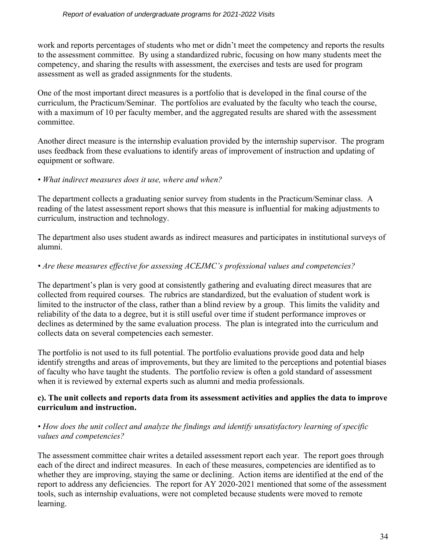work and reports percentages of students who met or didn't meet the competency and reports the results to the assessment committee. By using a standardized rubric, focusing on how many students meet the competency, and sharing the results with assessment, the exercises and tests are used for program assessment as well as graded assignments for the students.

One of the most important direct measures is a portfolio that is developed in the final course of the curriculum, the Practicum/Seminar. The portfolios are evaluated by the faculty who teach the course, with a maximum of 10 per faculty member, and the aggregated results are shared with the assessment committee.

Another direct measure is the internship evaluation provided by the internship supervisor. The program uses feedback from these evaluations to identify areas of improvement of instruction and updating of equipment or software.

### *• What indirect measures does it use, where and when?*

The department collects a graduating senior survey from students in the Practicum/Seminar class. A reading of the latest assessment report shows that this measure is influential for making adjustments to curriculum, instruction and technology.

The department also uses student awards as indirect measures and participates in institutional surveys of alumni.

### *• Are these measures effective for assessing ACEJMC's professional values and competencies?*

The department's plan is very good at consistently gathering and evaluating direct measures that are collected from required courses. The rubrics are standardized, but the evaluation of student work is limited to the instructor of the class, rather than a blind review by a group. This limits the validity and reliability of the data to a degree, but it is still useful over time if student performance improves or declines as determined by the same evaluation process. The plan is integrated into the curriculum and collects data on several competencies each semester.

The portfolio is not used to its full potential. The portfolio evaluations provide good data and help identify strengths and areas of improvements, but they are limited to the perceptions and potential biases of faculty who have taught the students. The portfolio review is often a gold standard of assessment when it is reviewed by external experts such as alumni and media professionals.

### **c). The unit collects and reports data from its assessment activities and applies the data to improve curriculum and instruction.**

### *• How does the unit collect and analyze the findings and identify unsatisfactory learning of specific values and competencies?*

The assessment committee chair writes a detailed assessment report each year. The report goes through each of the direct and indirect measures. In each of these measures, competencies are identified as to whether they are improving, staying the same or declining. Action items are identified at the end of the report to address any deficiencies. The report for AY 2020-2021 mentioned that some of the assessment tools, such as internship evaluations, were not completed because students were moved to remote learning.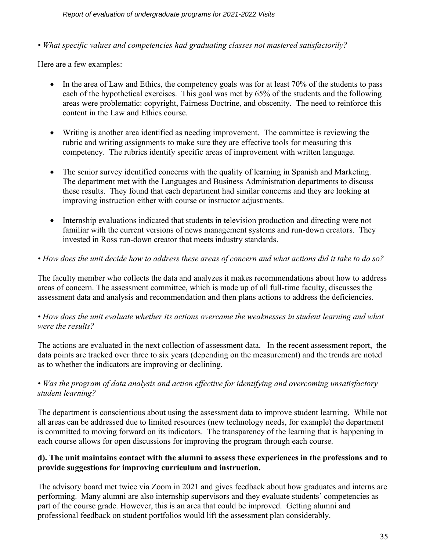*Report of evaluation of undergraduate programs for 2021-2022 Visits* 

*• What specific values and competencies had graduating classes not mastered satisfactorily?*

Here are a few examples:

- In the area of Law and Ethics, the competency goals was for at least 70% of the students to pass each of the hypothetical exercises. This goal was met by 65% of the students and the following areas were problematic: copyright, Fairness Doctrine, and obscenity. The need to reinforce this content in the Law and Ethics course.
- Writing is another area identified as needing improvement. The committee is reviewing the rubric and writing assignments to make sure they are effective tools for measuring this competency. The rubrics identify specific areas of improvement with written language.
- The senior survey identified concerns with the quality of learning in Spanish and Marketing. The department met with the Languages and Business Administration departments to discuss these results. They found that each department had similar concerns and they are looking at improving instruction either with course or instructor adjustments.
- Internship evaluations indicated that students in television production and directing were not familiar with the current versions of news management systems and run-down creators. They invested in Ross run-down creator that meets industry standards.
- *How does the unit decide how to address these areas of concern and what actions did it take to do so?*

The faculty member who collects the data and analyzes it makes recommendations about how to address areas of concern. The assessment committee, which is made up of all full-time faculty, discusses the assessment data and analysis and recommendation and then plans actions to address the deficiencies.

### *• How does the unit evaluate whether its actions overcame the weaknesses in student learning and what were the results?*

The actions are evaluated in the next collection of assessment data. In the recent assessment report, the data points are tracked over three to six years (depending on the measurement) and the trends are noted as to whether the indicators are improving or declining.

### *• Was the program of data analysis and action effective for identifying and overcoming unsatisfactory student learning?*

The department is conscientious about using the assessment data to improve student learning. While not all areas can be addressed due to limited resources (new technology needs, for example) the department is committed to moving forward on its indicators. The transparency of the learning that is happening in each course allows for open discussions for improving the program through each course.

### **d). The unit maintains contact with the alumni to assess these experiences in the professions and to provide suggestions for improving curriculum and instruction.**

The advisory board met twice via Zoom in 2021 and gives feedback about how graduates and interns are performing. Many alumni are also internship supervisors and they evaluate students' competencies as part of the course grade. However, this is an area that could be improved. Getting alumni and professional feedback on student portfolios would lift the assessment plan considerably.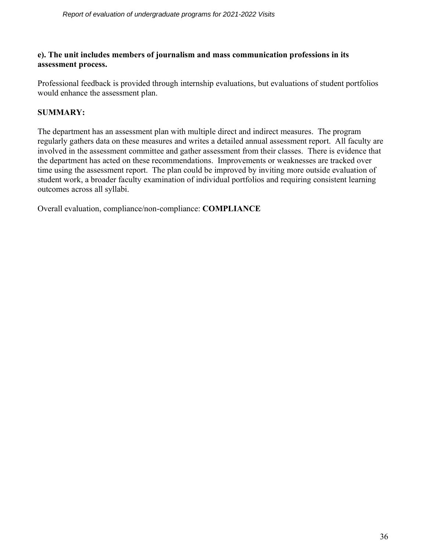### **e). The unit includes members of journalism and mass communication professions in its assessment process.**

Professional feedback is provided through internship evaluations, but evaluations of student portfolios would enhance the assessment plan.

### **SUMMARY:**

The department has an assessment plan with multiple direct and indirect measures. The program regularly gathers data on these measures and writes a detailed annual assessment report. All faculty are involved in the assessment committee and gather assessment from their classes. There is evidence that the department has acted on these recommendations. Improvements or weaknesses are tracked over time using the assessment report. The plan could be improved by inviting more outside evaluation of student work, a broader faculty examination of individual portfolios and requiring consistent learning outcomes across all syllabi.

Overall evaluation, compliance/non-compliance: **COMPLIANCE**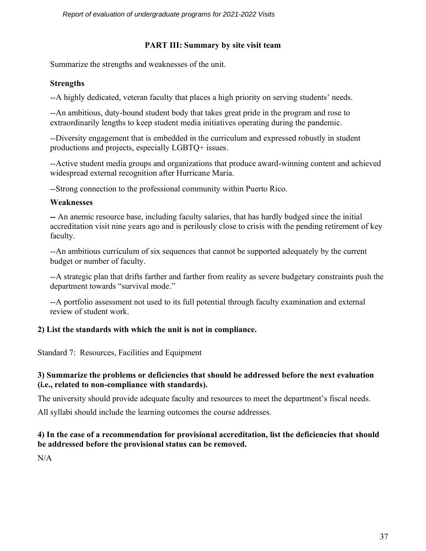### **PART III: Summary by site visit team**

Summarize the strengths and weaknesses of the unit.

### **Strengths**

--A highly dedicated, veteran faculty that places a high priority on serving students' needs.

--An ambitious, duty-bound student body that takes great pride in the program and rose to extraordinarily lengths to keep student media initiatives operating during the pandemic.

--Diversity engagement that is embedded in the curriculum and expressed robustly in student productions and projects, especially LGBTQ+ issues.

--Active student media groups and organizations that produce award-winning content and achieved widespread external recognition after Hurricane Maria.

--Strong connection to the professional community within Puerto Rico.

### **Weaknesses**

**--** An anemic resource base, including faculty salaries, that has hardly budged since the initial accreditation visit nine years ago and is perilously close to crisis with the pending retirement of key faculty.

--An ambitious curriculum of six sequences that cannot be supported adequately by the current budget or number of faculty.

--A strategic plan that drifts farther and farther from reality as severe budgetary constraints push the department towards "survival mode."

--A portfolio assessment not used to its full potential through faculty examination and external review of student work.

### **2) List the standards with which the unit is not in compliance.**

Standard 7: Resources, Facilities and Equipment

### **3) Summarize the problems or deficiencies that should be addressed before the next evaluation (i.e., related to non-compliance with standards).**

The university should provide adequate faculty and resources to meet the department's fiscal needs.

All syllabi should include the learning outcomes the course addresses.

### **4) In the case of a recommendation for provisional accreditation, list the deficiencies that should be addressed before the provisional status can be removed.**

 $N/A$